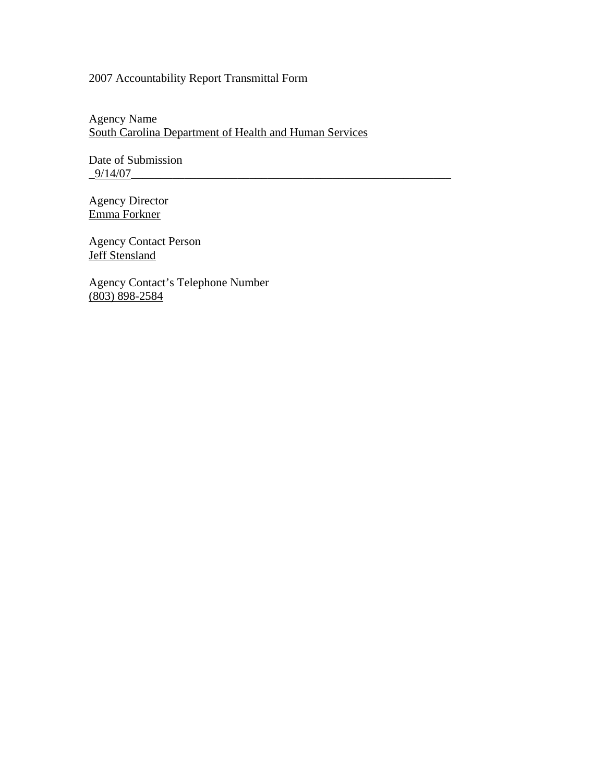# 2007 Accountability Report Transmittal Form

Agency Name South Carolina Department of Health and Human Services

Date of Submission  $-9/14/07$ 

Agency Director Emma Forkner

Agency Contact Person **Jeff Stensland** 

Agency Contact's Telephone Number (803) 898-2584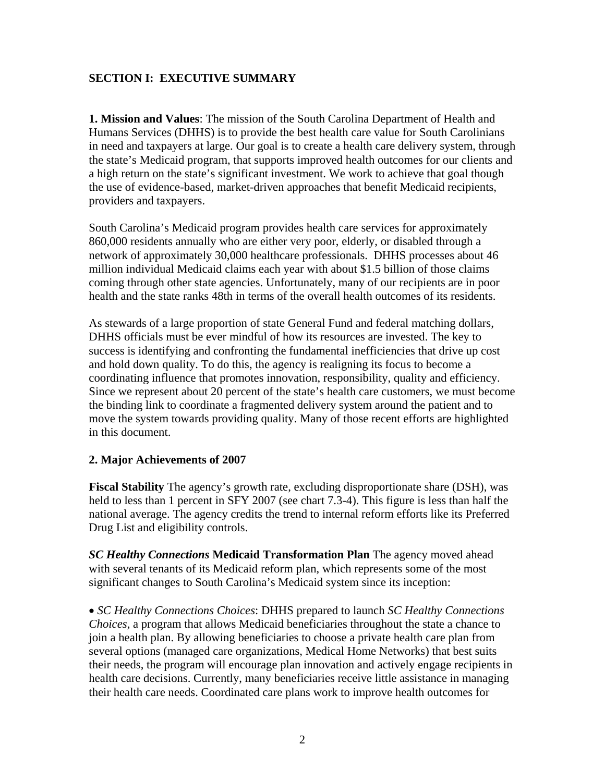# **SECTION I: EXECUTIVE SUMMARY**

**1. Mission and Values**: The mission of the South Carolina Department of Health and Humans Services (DHHS) is to provide the best health care value for South Carolinians in need and taxpayers at large. Our goal is to create a health care delivery system, through the state's Medicaid program, that supports improved health outcomes for our clients and a high return on the state's significant investment. We work to achieve that goal though the use of evidence-based, market-driven approaches that benefit Medicaid recipients, providers and taxpayers.

South Carolina's Medicaid program provides health care services for approximately 860,000 residents annually who are either very poor, elderly, or disabled through a network of approximately 30,000 healthcare professionals. DHHS processes about 46 million individual Medicaid claims each year with about \$1.5 billion of those claims coming through other state agencies. Unfortunately, many of our recipients are in poor health and the state ranks 48th in terms of the overall health outcomes of its residents.

As stewards of a large proportion of state General Fund and federal matching dollars, DHHS officials must be ever mindful of how its resources are invested. The key to success is identifying and confronting the fundamental inefficiencies that drive up cost and hold down quality. To do this, the agency is realigning its focus to become a coordinating influence that promotes innovation, responsibility, quality and efficiency. Since we represent about 20 percent of the state's health care customers, we must become the binding link to coordinate a fragmented delivery system around the patient and to move the system towards providing quality. Many of those recent efforts are highlighted in this document.

# **2. Major Achievements of 2007**

**Fiscal Stability** The agency's growth rate, excluding disproportionate share (DSH), was held to less than 1 percent in SFY 2007 (see chart 7.3-4). This figure is less than half the national average. The agency credits the trend to internal reform efforts like its Preferred Drug List and eligibility controls.

*SC Healthy Connections* **Medicaid Transformation Plan** The agency moved ahead with several tenants of its Medicaid reform plan, which represents some of the most significant changes to South Carolina's Medicaid system since its inception:

• *SC Healthy Connections Choices*: DHHS prepared to launch *SC Healthy Connections Choices*, a program that allows Medicaid beneficiaries throughout the state a chance to join a health plan. By allowing beneficiaries to choose a private health care plan from several options (managed care organizations, Medical Home Networks) that best suits their needs, the program will encourage plan innovation and actively engage recipients in health care decisions. Currently, many beneficiaries receive little assistance in managing their health care needs. Coordinated care plans work to improve health outcomes for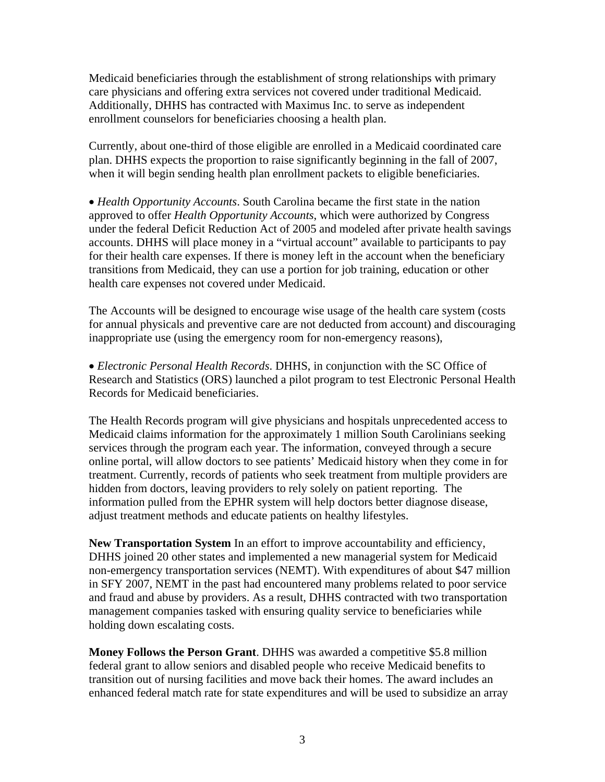Medicaid beneficiaries through the establishment of strong relationships with primary care physicians and offering extra services not covered under traditional Medicaid. Additionally, DHHS has contracted with Maximus Inc. to serve as independent enrollment counselors for beneficiaries choosing a health plan.

Currently, about one-third of those eligible are enrolled in a Medicaid coordinated care plan. DHHS expects the proportion to raise significantly beginning in the fall of 2007, when it will begin sending health plan enrollment packets to eligible beneficiaries.

• *Health Opportunity Accounts*. South Carolina became the first state in the nation approved to offer *Health Opportunity Accounts*, which were authorized by Congress under the federal Deficit Reduction Act of 2005 and modeled after private health savings accounts. DHHS will place money in a "virtual account" available to participants to pay for their health care expenses. If there is money left in the account when the beneficiary transitions from Medicaid, they can use a portion for job training, education or other health care expenses not covered under Medicaid.

The Accounts will be designed to encourage wise usage of the health care system (costs for annual physicals and preventive care are not deducted from account) and discouraging inappropriate use (using the emergency room for non-emergency reasons),

• *Electronic Personal Health Records*. DHHS, in conjunction with the SC Office of Research and Statistics (ORS) launched a pilot program to test Electronic Personal Health Records for Medicaid beneficiaries.

The Health Records program will give physicians and hospitals unprecedented access to Medicaid claims information for the approximately 1 million South Carolinians seeking services through the program each year. The information, conveyed through a secure online portal, will allow doctors to see patients' Medicaid history when they come in for treatment. Currently, records of patients who seek treatment from multiple providers are hidden from doctors, leaving providers to rely solely on patient reporting. The information pulled from the EPHR system will help doctors better diagnose disease, adjust treatment methods and educate patients on healthy lifestyles.

**New Transportation System** In an effort to improve accountability and efficiency, DHHS joined 20 other states and implemented a new managerial system for Medicaid non-emergency transportation services (NEMT). With expenditures of about \$47 million in SFY 2007, NEMT in the past had encountered many problems related to poor service and fraud and abuse by providers. As a result, DHHS contracted with two transportation management companies tasked with ensuring quality service to beneficiaries while holding down escalating costs.

**Money Follows the Person Grant**. DHHS was awarded a competitive \$5.8 million federal grant to allow seniors and disabled people who receive Medicaid benefits to transition out of nursing facilities and move back their homes. The award includes an enhanced federal match rate for state expenditures and will be used to subsidize an array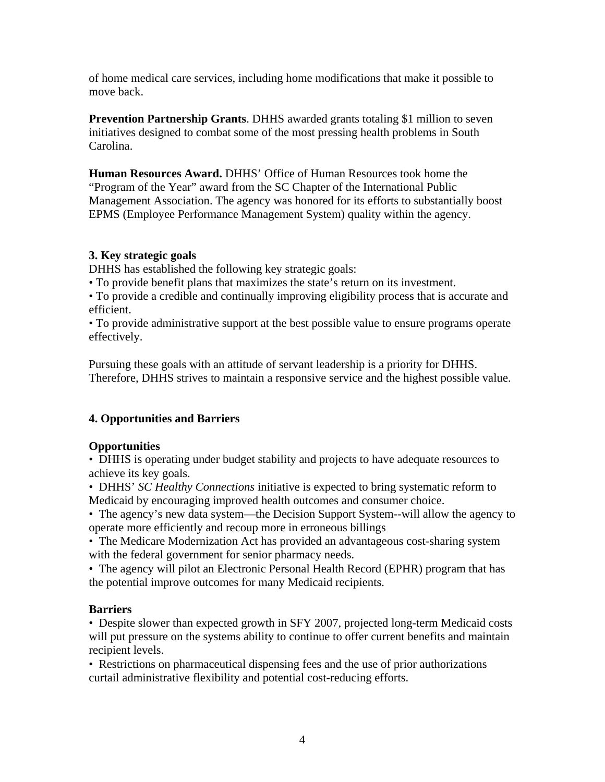of home medical care services, including home modifications that make it possible to move back.

**Prevention Partnership Grants**. DHHS awarded grants totaling \$1 million to seven initiatives designed to combat some of the most pressing health problems in South Carolina.

**Human Resources Award.** DHHS' Office of Human Resources took home the "Program of the Year" award from the SC Chapter of the International Public Management Association. The agency was honored for its efforts to substantially boost EPMS (Employee Performance Management System) quality within the agency.

#### **3. Key strategic goals**

DHHS has established the following key strategic goals:

• To provide benefit plans that maximizes the state's return on its investment.

• To provide a credible and continually improving eligibility process that is accurate and efficient.

• To provide administrative support at the best possible value to ensure programs operate effectively.

Pursuing these goals with an attitude of servant leadership is a priority for DHHS. Therefore, DHHS strives to maintain a responsive service and the highest possible value.

# **4. Opportunities and Barriers**

# **Opportunities**

• DHHS is operating under budget stability and projects to have adequate resources to achieve its key goals.

• DHHS' *SC Healthy Connections* initiative is expected to bring systematic reform to Medicaid by encouraging improved health outcomes and consumer choice.

• The agency's new data system—the Decision Support System--will allow the agency to operate more efficiently and recoup more in erroneous billings

• The Medicare Modernization Act has provided an advantageous cost-sharing system with the federal government for senior pharmacy needs.

• The agency will pilot an Electronic Personal Health Record (EPHR) program that has the potential improve outcomes for many Medicaid recipients.

# **Barriers**

• Despite slower than expected growth in SFY 2007, projected long-term Medicaid costs will put pressure on the systems ability to continue to offer current benefits and maintain recipient levels.

• Restrictions on pharmaceutical dispensing fees and the use of prior authorizations curtail administrative flexibility and potential cost-reducing efforts.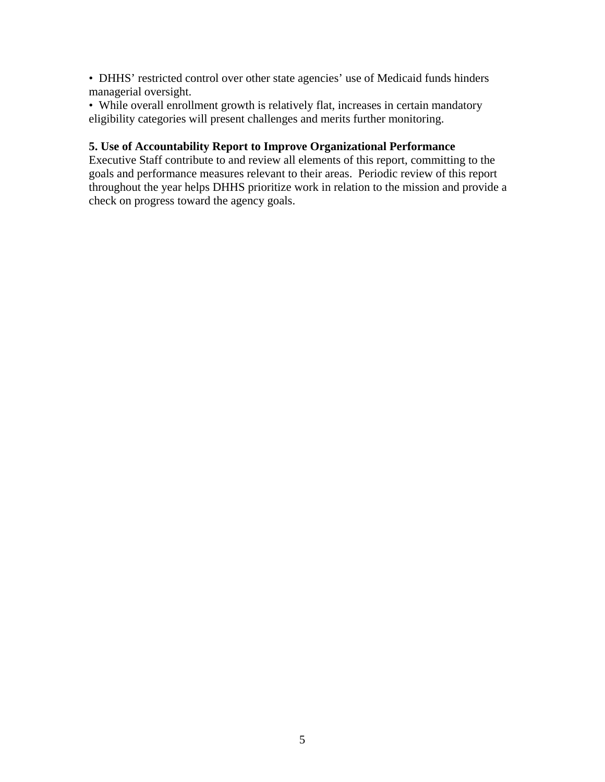• DHHS' restricted control over other state agencies' use of Medicaid funds hinders managerial oversight.

• While overall enrollment growth is relatively flat, increases in certain mandatory eligibility categories will present challenges and merits further monitoring.

#### **5. Use of Accountability Report to Improve Organizational Performance**

Executive Staff contribute to and review all elements of this report, committing to the goals and performance measures relevant to their areas. Periodic review of this report throughout the year helps DHHS prioritize work in relation to the mission and provide a check on progress toward the agency goals.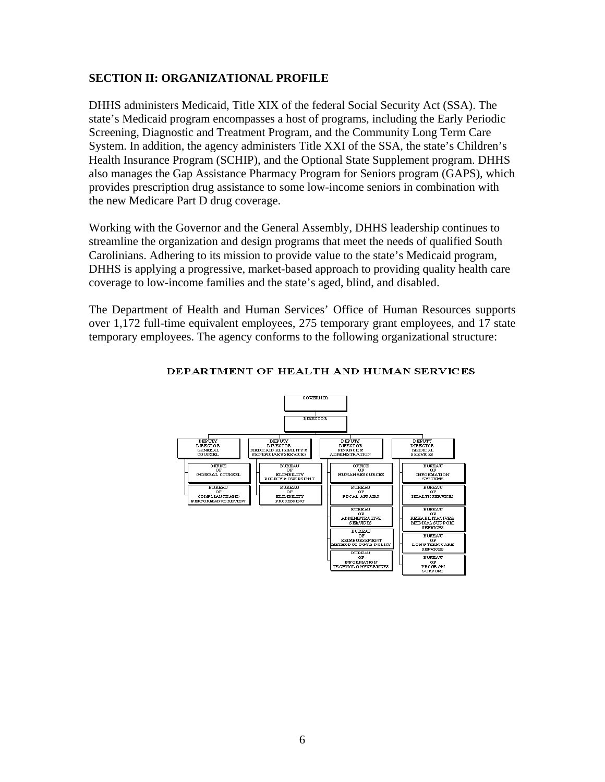#### **SECTION II: ORGANIZATIONAL PROFILE**

DHHS administers Medicaid, Title XIX of the federal Social Security Act (SSA). The state's Medicaid program encompasses a host of programs, including the Early Periodic Screening, Diagnostic and Treatment Program, and the Community Long Term Care System. In addition, the agency administers Title XXI of the SSA, the state's Children's Health Insurance Program (SCHIP), and the Optional State Supplement program. DHHS also manages the Gap Assistance Pharmacy Program for Seniors program (GAPS)*,* which provides prescription drug assistance to some low-income seniors in combination with the new Medicare Part D drug coverage.

Working with the Governor and the General Assembly, DHHS leadership continues to streamline the organization and design programs that meet the needs of qualified South Carolinians. Adhering to its mission to provide value to the state's Medicaid program, DHHS is applying a progressive, market-based approach to providing quality health care coverage to low-income families and the state's aged, blind, and disabled.

The Department of Health and Human Services' Office of Human Resources supports over 1,172 full-time equivalent employees, 275 temporary grant employees, and 17 state temporary employees. The agency conforms to the following organizational structure:



#### DEPARTMENT OF HEALTH AND HUMAN SERVICES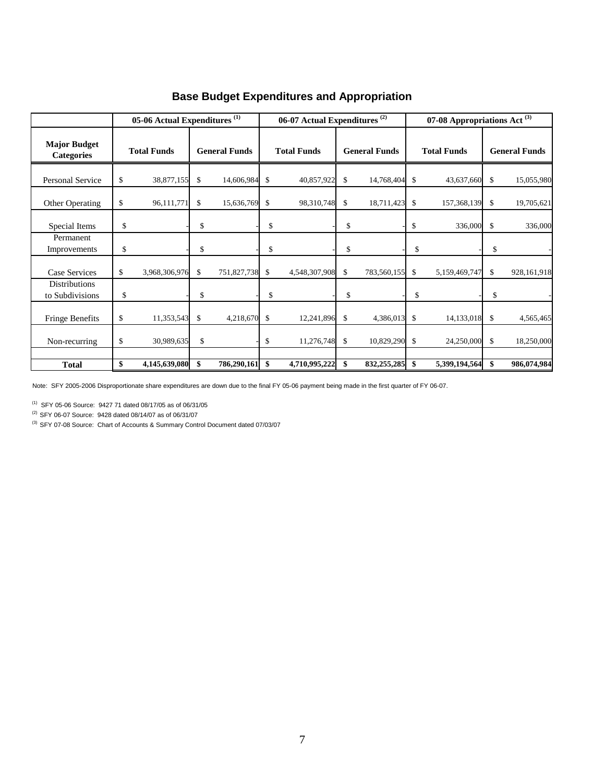|                                          | 05-06 Actual Expenditures $^{(1)}$ |               |                      |             |                    | 06-07 Actual Expenditures <sup>(2)</sup> |                      |             | 07-08 Appropriations Act $^{(3)}$ |               |                      |             |
|------------------------------------------|------------------------------------|---------------|----------------------|-------------|--------------------|------------------------------------------|----------------------|-------------|-----------------------------------|---------------|----------------------|-------------|
| <b>Major Budget</b><br><b>Categories</b> | <b>Total Funds</b>                 |               | <b>General Funds</b> |             | <b>Total Funds</b> |                                          | <b>General Funds</b> |             | <b>Total Funds</b>                |               | <b>General Funds</b> |             |
| Personal Service                         | \$                                 | 38,877,155    | \$                   | 14,606,984  | \$                 | 40,857,922                               | \$                   | 14,768,404  | \$                                | 43,637,660    | \$                   | 15,055,980  |
| Other Operating                          | \$                                 | 96,111,771    | \$                   | 15,636,769  | \$                 | 98,310,748                               | \$                   | 18,711,423  | \$                                | 157,368,139   | \$                   | 19,705,621  |
| Special Items                            | \$                                 |               | \$                   |             | \$                 |                                          | \$                   |             | \$                                | 336,000       | \$                   | 336,000     |
| Permanent<br>Improvements                | \$                                 |               | \$                   |             | \$                 |                                          | \$                   |             | \$                                |               | \$                   |             |
| <b>Case Services</b>                     | \$                                 | 3,968,306,976 | \$                   | 751,827,738 | \$                 | 4,548,307,908                            | \$                   | 783,560,155 | \$                                | 5,159,469,747 | \$                   | 928,161,918 |
| <b>Distributions</b><br>to Subdivisions  | \$                                 |               | \$                   |             | \$                 |                                          | \$                   |             | \$                                |               | \$                   |             |
| <b>Fringe Benefits</b>                   | \$                                 | 11,353,543    | \$                   | 4,218,670   | \$                 | 12,241,896                               | \$                   | 4,386,013   | \$                                | 14,133,018    | \$                   | 4,565,465   |
| Non-recurring                            | \$                                 | 30,989,635    | \$                   |             | \$                 | 11,276,748                               | \$                   | 10,829,290  | \$                                | 24,250,000    | \$                   | 18,250,000  |
| <b>Total</b>                             | \$                                 | 4,145,639,080 | \$                   | 786,290,161 | \$                 | 4,710,995,222                            | \$                   | 832,255,285 | \$                                | 5,399,194,564 | \$                   | 986,074,984 |

# **Base Budget Expenditures and Appropriation**

Note: SFY 2005-2006 Disproportionate share expenditures are down due to the final FY 05-06 payment being made in the first quarter of FY 06-07.

(1) SFY 05-06 Source: 9427 71 dated 08/17/05 as of 06/31/05

(2) SFY 06-07 Source: 9428 dated 08/14/07 as of 06/31/07

(3) SFY 07-08 Source: Chart of Accounts & Summary Control Document dated 07/03/07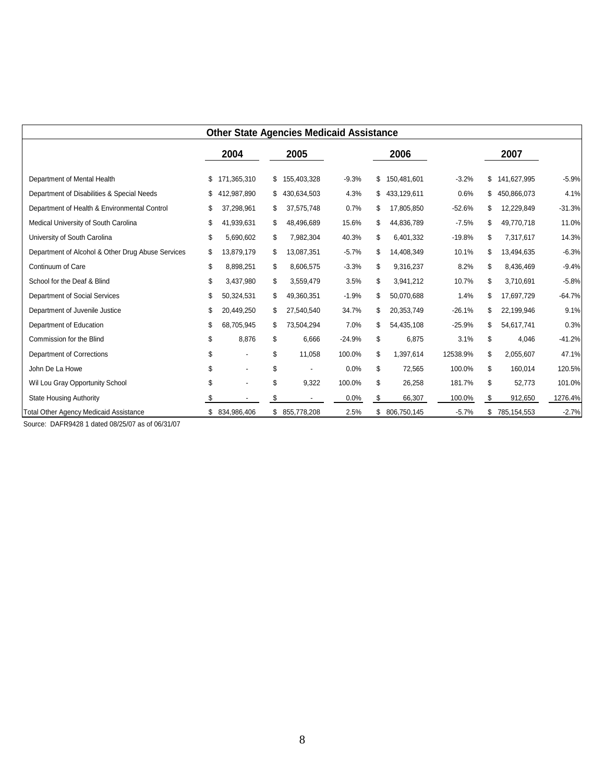|                                                   | <b>Other State Agencies Medicaid Assistance</b> |                |    |                |          |    |             |          |    |               |          |
|---------------------------------------------------|-------------------------------------------------|----------------|----|----------------|----------|----|-------------|----------|----|---------------|----------|
|                                                   |                                                 | 2004           |    | 2005           |          |    | 2006        |          |    | 2007          |          |
| Department of Mental Health                       |                                                 | 171,365,310    | \$ | 155,403,328    | $-9.3%$  | \$ | 150,481,601 | $-3.2%$  | \$ | 141,627,995   | $-5.9%$  |
| Department of Disabilities & Special Needs        |                                                 | 412,987,890    |    | 430,634,503    | 4.3%     | \$ | 433,129,611 | 0.6%     | \$ | 450,866,073   | 4.1%     |
| Department of Health & Environmental Control      | \$                                              | 37,298,961     |    | 37,575,748     | 0.7%     | \$ | 17,805,850  | $-52.6%$ | \$ | 12,229,849    | $-31.3%$ |
| Medical University of South Carolina              | \$                                              | 41,939,631     | S  | 48,496,689     | 15.6%    | \$ | 44,836,789  | $-7.5%$  | \$ | 49,770,718    | 11.0%    |
| University of South Carolina                      | \$                                              | 5,690,602      | \$ | 7,982,304      | 40.3%    | \$ | 6,401,332   | $-19.8%$ | \$ | 7,317,617     | 14.3%    |
| Department of Alcohol & Other Drug Abuse Services | \$                                              | 13,879,179     | S  | 13,087,351     | $-5.7%$  | \$ | 14,408,349  | 10.1%    | \$ | 13,494,635    | $-6.3%$  |
| Continuum of Care                                 | \$                                              | 8,898,251      | \$ | 8,606,575      | $-3.3%$  | \$ | 9,316,237   | 8.2%     | \$ | 8,436,469     | $-9.4%$  |
| School for the Deaf & Blind                       | \$                                              | 3,437,980      | S  | 3,559,479      | 3.5%     | \$ | 3,941,212   | 10.7%    | \$ | 3,710,691     | $-5.8%$  |
| Department of Social Services                     | \$                                              | 50,324,531     | S  | 49,360,351     | $-1.9%$  | \$ | 50,070,688  | 1.4%     | \$ | 17,697,729    | $-64.7%$ |
| Department of Juvenile Justice                    | \$                                              | 20,449,250     |    | 27,540,540     | 34.7%    | \$ | 20,353,749  | $-26.1%$ | \$ | 22,199,946    | 9.1%     |
| Department of Education                           | \$                                              | 68,705,945     | S  | 73,504,294     | 7.0%     | \$ | 54,435,108  | $-25.9%$ | \$ | 54,617,741    | 0.3%     |
| Commission for the Blind                          | \$                                              | 8,876          | \$ | 6,666          | $-24.9%$ | \$ | 6,875       | 3.1%     | \$ | 4,046         | $-41.2%$ |
| <b>Department of Corrections</b>                  | \$                                              |                | \$ | 11,058         | 100.0%   | \$ | 1,397,614   | 12538.9% | \$ | 2,055,607     | 47.1%    |
| John De La Howe                                   | \$                                              |                | \$ | $\blacksquare$ | 0.0%     | \$ | 72,565      | 100.0%   | \$ | 160,014       | 120.5%   |
| Wil Lou Gray Opportunity School                   | \$                                              |                | \$ | 9,322          | 100.0%   | \$ | 26,258      | 181.7%   | \$ | 52,773        | 101.0%   |
| <b>State Housing Authority</b>                    | \$                                              |                | \$ |                | 0.0%     | \$ | 66,307      | 100.0%   | \$ | 912,650       | 1276.4%  |
| <b>Total Other Agency Medicaid Assistance</b>     |                                                 | \$ 834,986,406 |    | \$ 855,778,208 | 2.5%     | \$ | 806,750,145 | $-5.7%$  |    | \$785,154,553 | $-2.7%$  |

Source: DAFR9428 1 dated 08/25/07 as of 06/31/07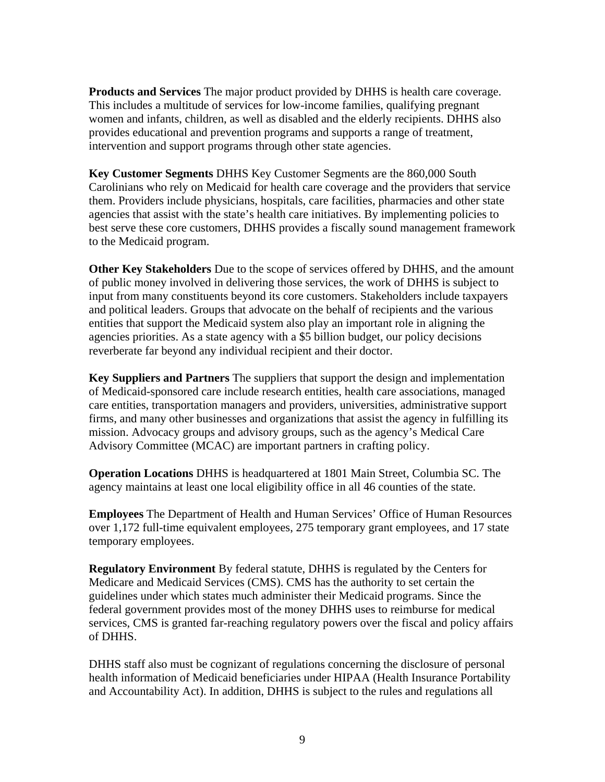**Products and Services** The major product provided by DHHS is health care coverage. This includes a multitude of services for low-income families, qualifying pregnant women and infants, children, as well as disabled and the elderly recipients. DHHS also provides educational and prevention programs and supports a range of treatment, intervention and support programs through other state agencies.

**Key Customer Segments** DHHS Key Customer Segments are the 860,000 South Carolinians who rely on Medicaid for health care coverage and the providers that service them. Providers include physicians, hospitals, care facilities, pharmacies and other state agencies that assist with the state's health care initiatives. By implementing policies to best serve these core customers, DHHS provides a fiscally sound management framework to the Medicaid program.

**Other Key Stakeholders** Due to the scope of services offered by DHHS, and the amount of public money involved in delivering those services, the work of DHHS is subject to input from many constituents beyond its core customers. Stakeholders include taxpayers and political leaders. Groups that advocate on the behalf of recipients and the various entities that support the Medicaid system also play an important role in aligning the agencies priorities. As a state agency with a \$5 billion budget, our policy decisions reverberate far beyond any individual recipient and their doctor.

**Key Suppliers and Partners** The suppliers that support the design and implementation of Medicaid-sponsored care include research entities, health care associations, managed care entities, transportation managers and providers, universities, administrative support firms, and many other businesses and organizations that assist the agency in fulfilling its mission. Advocacy groups and advisory groups, such as the agency's Medical Care Advisory Committee (MCAC) are important partners in crafting policy.

**Operation Locations** DHHS is headquartered at 1801 Main Street, Columbia SC. The agency maintains at least one local eligibility office in all 46 counties of the state.

**Employees** The Department of Health and Human Services' Office of Human Resources over 1,172 full-time equivalent employees, 275 temporary grant employees, and 17 state temporary employees.

**Regulatory Environment** By federal statute, DHHS is regulated by the Centers for Medicare and Medicaid Services (CMS). CMS has the authority to set certain the guidelines under which states much administer their Medicaid programs. Since the federal government provides most of the money DHHS uses to reimburse for medical services, CMS is granted far-reaching regulatory powers over the fiscal and policy affairs of DHHS.

DHHS staff also must be cognizant of regulations concerning the disclosure of personal health information of Medicaid beneficiaries under HIPAA (Health Insurance Portability and Accountability Act). In addition, DHHS is subject to the rules and regulations all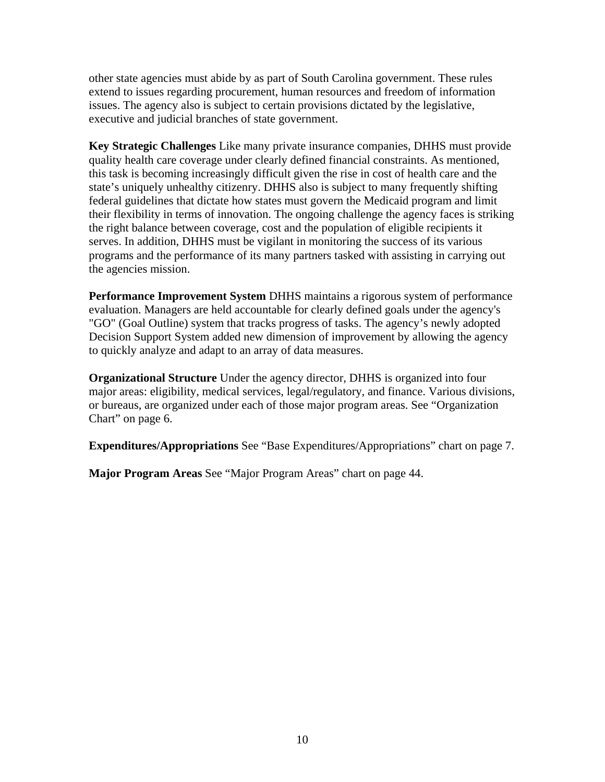other state agencies must abide by as part of South Carolina government. These rules extend to issues regarding procurement, human resources and freedom of information issues. The agency also is subject to certain provisions dictated by the legislative, executive and judicial branches of state government.

**Key Strategic Challenges** Like many private insurance companies, DHHS must provide quality health care coverage under clearly defined financial constraints. As mentioned, this task is becoming increasingly difficult given the rise in cost of health care and the state's uniquely unhealthy citizenry. DHHS also is subject to many frequently shifting federal guidelines that dictate how states must govern the Medicaid program and limit their flexibility in terms of innovation. The ongoing challenge the agency faces is striking the right balance between coverage, cost and the population of eligible recipients it serves. In addition, DHHS must be vigilant in monitoring the success of its various programs and the performance of its many partners tasked with assisting in carrying out the agencies mission.

**Performance Improvement System** DHHS maintains a rigorous system of performance evaluation. Managers are held accountable for clearly defined goals under the agency's "GO" (Goal Outline) system that tracks progress of tasks. The agency's newly adopted Decision Support System added new dimension of improvement by allowing the agency to quickly analyze and adapt to an array of data measures.

**Organizational Structure** Under the agency director, DHHS is organized into four major areas: eligibility, medical services, legal/regulatory, and finance. Various divisions, or bureaus, are organized under each of those major program areas. See "Organization Chart" on page 6.

**Expenditures/Appropriations** See "Base Expenditures/Appropriations" chart on page 7.

**Major Program Areas** See "Major Program Areas" chart on page 44.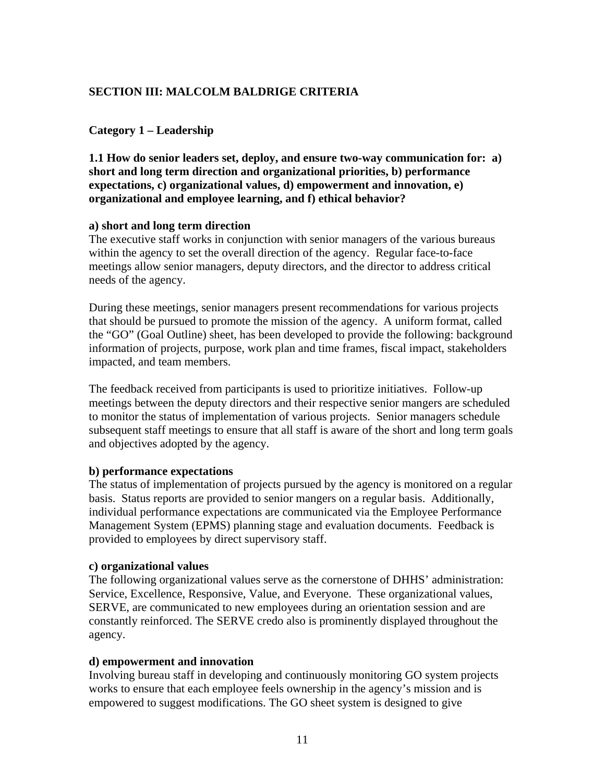# **SECTION III: MALCOLM BALDRIGE CRITERIA**

#### **Category 1 – Leadership**

**1.1 How do senior leaders set, deploy, and ensure two-way communication for: a) short and long term direction and organizational priorities, b) performance expectations, c) organizational values, d) empowerment and innovation, e) organizational and employee learning, and f) ethical behavior?** 

#### **a) short and long term direction**

The executive staff works in conjunction with senior managers of the various bureaus within the agency to set the overall direction of the agency. Regular face-to-face meetings allow senior managers, deputy directors, and the director to address critical needs of the agency.

During these meetings, senior managers present recommendations for various projects that should be pursued to promote the mission of the agency. A uniform format, called the "GO" (Goal Outline) sheet, has been developed to provide the following: background information of projects, purpose, work plan and time frames, fiscal impact, stakeholders impacted, and team members.

The feedback received from participants is used to prioritize initiatives. Follow-up meetings between the deputy directors and their respective senior mangers are scheduled to monitor the status of implementation of various projects. Senior managers schedule subsequent staff meetings to ensure that all staff is aware of the short and long term goals and objectives adopted by the agency.

#### **b) performance expectations**

The status of implementation of projects pursued by the agency is monitored on a regular basis. Status reports are provided to senior mangers on a regular basis. Additionally, individual performance expectations are communicated via the Employee Performance Management System (EPMS) planning stage and evaluation documents. Feedback is provided to employees by direct supervisory staff.

#### **c) organizational values**

The following organizational values serve as the cornerstone of DHHS' administration: Service, Excellence, Responsive, Value, and Everyone. These organizational values, SERVE, are communicated to new employees during an orientation session and are constantly reinforced. The SERVE credo also is prominently displayed throughout the agency.

#### **d) empowerment and innovation**

Involving bureau staff in developing and continuously monitoring GO system projects works to ensure that each employee feels ownership in the agency's mission and is empowered to suggest modifications. The GO sheet system is designed to give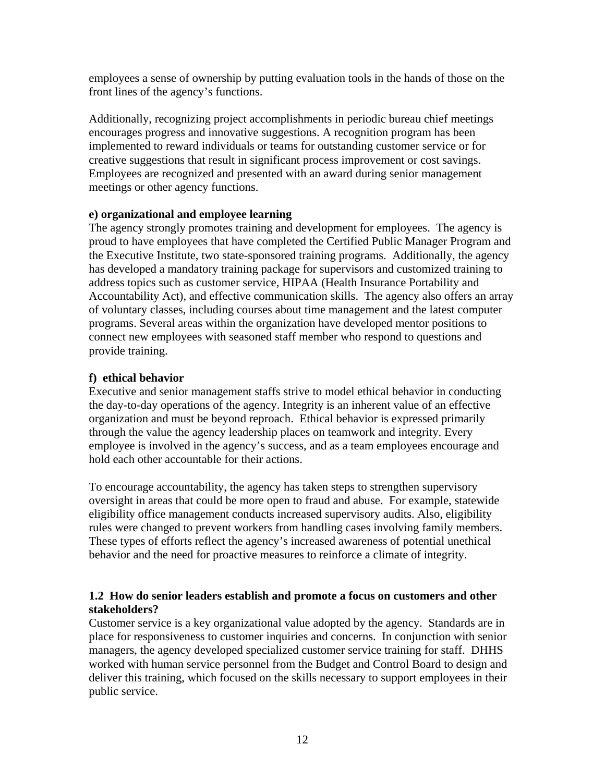employees a sense of ownership by putting evaluation tools in the hands of those on the front lines of the agency's functions.

Additionally, recognizing project accomplishments in periodic bureau chief meetings encourages progress and innovative suggestions. A recognition program has been implemented to reward individuals or teams for outstanding customer service or for creative suggestions that result in significant process improvement or cost savings. Employees are recognized and presented with an award during senior management meetings or other agency functions.

#### **e) organizational and employee learning**

The agency strongly promotes training and development for employees. The agency is proud to have employees that have completed the Certified Public Manager Program and the Executive Institute, two state-sponsored training programs. Additionally, the agency has developed a mandatory training package for supervisors and customized training to address topics such as customer service, HIPAA (Health Insurance Portability and Accountability Act), and effective communication skills. The agency also offers an array of voluntary classes, including courses about time management and the latest computer programs. Several areas within the organization have developed mentor positions to connect new employees with seasoned staff member who respond to questions and provide training.

#### **f) ethical behavior**

Executive and senior management staffs strive to model ethical behavior in conducting the day-to-day operations of the agency. Integrity is an inherent value of an effective organization and must be beyond reproach. Ethical behavior is expressed primarily through the value the agency leadership places on teamwork and integrity. Every employee is involved in the agency's success, and as a team employees encourage and hold each other accountable for their actions.

To encourage accountability, the agency has taken steps to strengthen supervisory oversight in areas that could be more open to fraud and abuse. For example, statewide eligibility office management conducts increased supervisory audits. Also, eligibility rules were changed to prevent workers from handling cases involving family members. These types of efforts reflect the agency's increased awareness of potential unethical behavior and the need for proactive measures to reinforce a climate of integrity.

#### **1.2 How do senior leaders establish and promote a focus on customers and other stakeholders?**

Customer service is a key organizational value adopted by the agency. Standards are in place for responsiveness to customer inquiries and concerns. In conjunction with senior managers, the agency developed specialized customer service training for staff. DHHS worked with human service personnel from the Budget and Control Board to design and deliver this training, which focused on the skills necessary to support employees in their public service.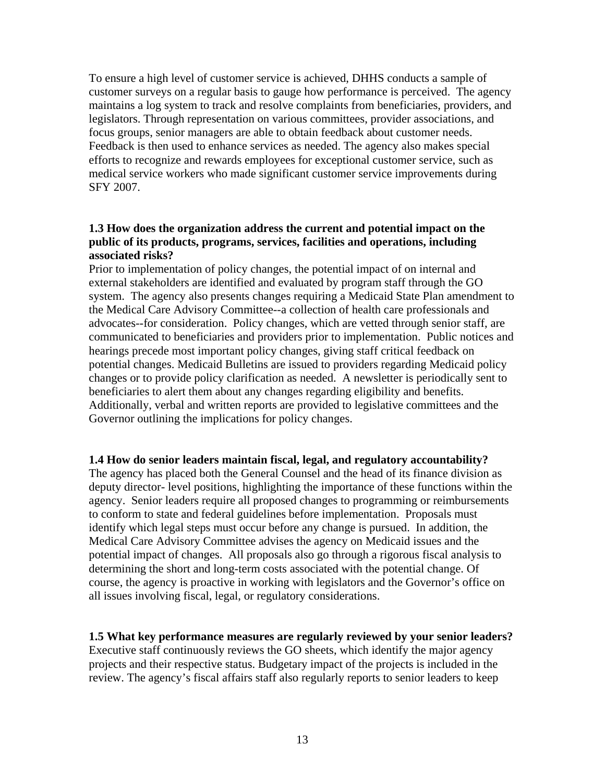To ensure a high level of customer service is achieved, DHHS conducts a sample of customer surveys on a regular basis to gauge how performance is perceived. The agency maintains a log system to track and resolve complaints from beneficiaries, providers, and legislators. Through representation on various committees, provider associations, and focus groups, senior managers are able to obtain feedback about customer needs. Feedback is then used to enhance services as needed. The agency also makes special efforts to recognize and rewards employees for exceptional customer service, such as medical service workers who made significant customer service improvements during SFY 2007.

#### **1.3 How does the organization address the current and potential impact on the public of its products, programs, services, facilities and operations, including associated risks?**

Prior to implementation of policy changes, the potential impact of on internal and external stakeholders are identified and evaluated by program staff through the GO system. The agency also presents changes requiring a Medicaid State Plan amendment to the Medical Care Advisory Committee--a collection of health care professionals and advocates--for consideration. Policy changes, which are vetted through senior staff, are communicated to beneficiaries and providers prior to implementation. Public notices and hearings precede most important policy changes, giving staff critical feedback on potential changes. Medicaid Bulletins are issued to providers regarding Medicaid policy changes or to provide policy clarification as needed. A newsletter is periodically sent to beneficiaries to alert them about any changes regarding eligibility and benefits. Additionally, verbal and written reports are provided to legislative committees and the Governor outlining the implications for policy changes.

#### **1.4 How do senior leaders maintain fiscal, legal, and regulatory accountability?**

The agency has placed both the General Counsel and the head of its finance division as deputy director- level positions, highlighting the importance of these functions within the agency. Senior leaders require all proposed changes to programming or reimbursements to conform to state and federal guidelines before implementation. Proposals must identify which legal steps must occur before any change is pursued. In addition, the Medical Care Advisory Committee advises the agency on Medicaid issues and the potential impact of changes. All proposals also go through a rigorous fiscal analysis to determining the short and long-term costs associated with the potential change. Of course, the agency is proactive in working with legislators and the Governor's office on all issues involving fiscal, legal, or regulatory considerations.

**1.5 What key performance measures are regularly reviewed by your senior leaders?**  Executive staff continuously reviews the GO sheets, which identify the major agency projects and their respective status. Budgetary impact of the projects is included in the review. The agency's fiscal affairs staff also regularly reports to senior leaders to keep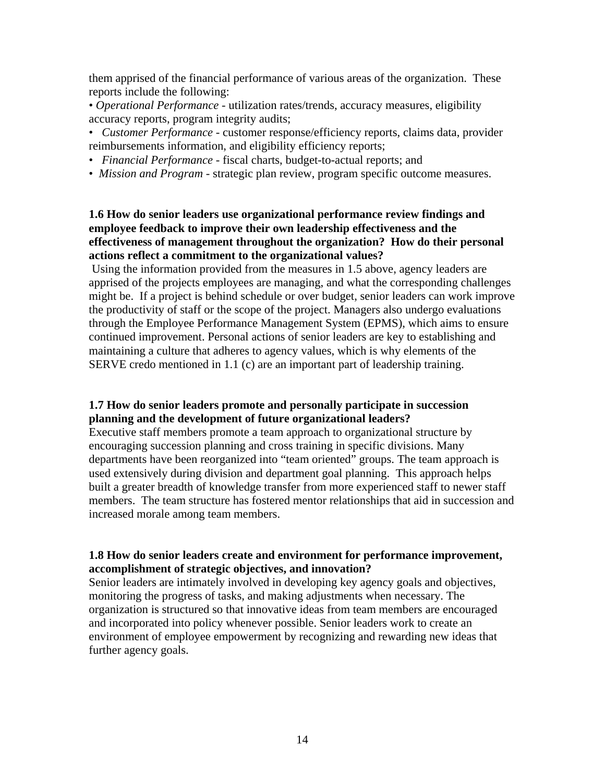them apprised of the financial performance of various areas of the organization. These reports include the following:

• *Operational Performance* - utilization rates/trends, accuracy measures, eligibility accuracy reports, program integrity audits;

- *Customer Performance* customer response/efficiency reports, claims data, provider reimbursements information, and eligibility efficiency reports;
- • *Financial Performance* fiscal charts, budget-to-actual reports; and
- *Mission and Program* strategic plan review, program specific outcome measures.

#### **1.6 How do senior leaders use organizational performance review findings and employee feedback to improve their own leadership effectiveness and the effectiveness of management throughout the organization? How do their personal actions reflect a commitment to the organizational values?**

 Using the information provided from the measures in 1.5 above, agency leaders are apprised of the projects employees are managing, and what the corresponding challenges might be. If a project is behind schedule or over budget, senior leaders can work improve the productivity of staff or the scope of the project. Managers also undergo evaluations through the Employee Performance Management System (EPMS), which aims to ensure continued improvement. Personal actions of senior leaders are key to establishing and maintaining a culture that adheres to agency values, which is why elements of the SERVE credo mentioned in 1.1 (c) are an important part of leadership training.

#### **1.7 How do senior leaders promote and personally participate in succession planning and the development of future organizational leaders?**

Executive staff members promote a team approach to organizational structure by encouraging succession planning and cross training in specific divisions. Many departments have been reorganized into "team oriented" groups. The team approach is used extensively during division and department goal planning. This approach helps built a greater breadth of knowledge transfer from more experienced staff to newer staff members. The team structure has fostered mentor relationships that aid in succession and increased morale among team members.

#### **1.8 How do senior leaders create and environment for performance improvement, accomplishment of strategic objectives, and innovation?**

Senior leaders are intimately involved in developing key agency goals and objectives, monitoring the progress of tasks, and making adjustments when necessary. The organization is structured so that innovative ideas from team members are encouraged and incorporated into policy whenever possible. Senior leaders work to create an environment of employee empowerment by recognizing and rewarding new ideas that further agency goals.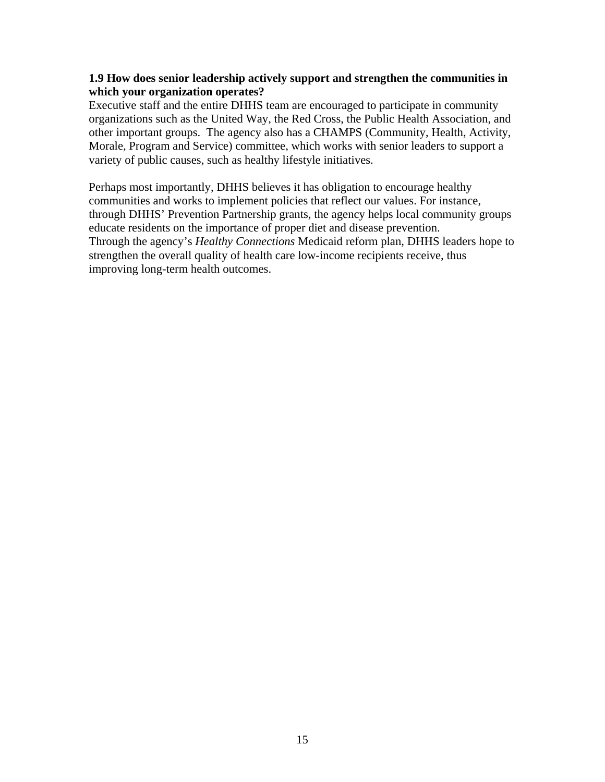#### **1.9 How does senior leadership actively support and strengthen the communities in which your organization operates?**

Executive staff and the entire DHHS team are encouraged to participate in community organizations such as the United Way, the Red Cross, the Public Health Association, and other important groups. The agency also has a CHAMPS (Community, Health, Activity, Morale, Program and Service) committee, which works with senior leaders to support a variety of public causes, such as healthy lifestyle initiatives.

Perhaps most importantly, DHHS believes it has obligation to encourage healthy communities and works to implement policies that reflect our values. For instance, through DHHS' Prevention Partnership grants, the agency helps local community groups educate residents on the importance of proper diet and disease prevention. Through the agency's *Healthy Connections* Medicaid reform plan, DHHS leaders hope to strengthen the overall quality of health care low-income recipients receive, thus improving long-term health outcomes.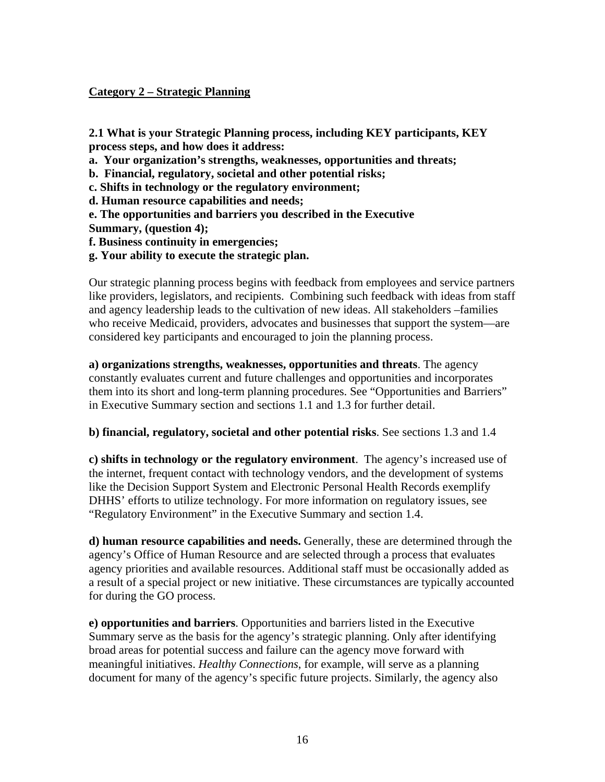#### **Category 2 – Strategic Planning**

**2.1 What is your Strategic Planning process, including KEY participants, KEY process steps, and how does it address:** 

**a. Your organization's strengths, weaknesses, opportunities and threats;** 

**b. Financial, regulatory, societal and other potential risks;** 

**c. Shifts in technology or the regulatory environment;** 

**d. Human resource capabilities and needs;** 

**e. The opportunities and barriers you described in the Executive** 

**Summary, (question 4);** 

**f. Business continuity in emergencies;** 

**g. Your ability to execute the strategic plan.** 

Our strategic planning process begins with feedback from employees and service partners like providers, legislators, and recipients. Combining such feedback with ideas from staff and agency leadership leads to the cultivation of new ideas. All stakeholders –families who receive Medicaid, providers, advocates and businesses that support the system—are considered key participants and encouraged to join the planning process.

**a) organizations strengths, weaknesses, opportunities and threats**. The agency constantly evaluates current and future challenges and opportunities and incorporates them into its short and long-term planning procedures. See "Opportunities and Barriers" in Executive Summary section and sections 1.1 and 1.3 for further detail.

**b) financial, regulatory, societal and other potential risks**. See sections 1.3 and 1.4

**c) shifts in technology or the regulatory environment**. The agency's increased use of the internet, frequent contact with technology vendors, and the development of systems like the Decision Support System and Electronic Personal Health Records exemplify DHHS' efforts to utilize technology. For more information on regulatory issues, see "Regulatory Environment" in the Executive Summary and section 1.4.

**d) human resource capabilities and needs.** Generally, these are determined through the agency's Office of Human Resource and are selected through a process that evaluates agency priorities and available resources. Additional staff must be occasionally added as a result of a special project or new initiative. These circumstances are typically accounted for during the GO process.

**e) opportunities and barriers**. Opportunities and barriers listed in the Executive Summary serve as the basis for the agency's strategic planning. Only after identifying broad areas for potential success and failure can the agency move forward with meaningful initiatives. *Healthy Connections*, for example, will serve as a planning document for many of the agency's specific future projects. Similarly, the agency also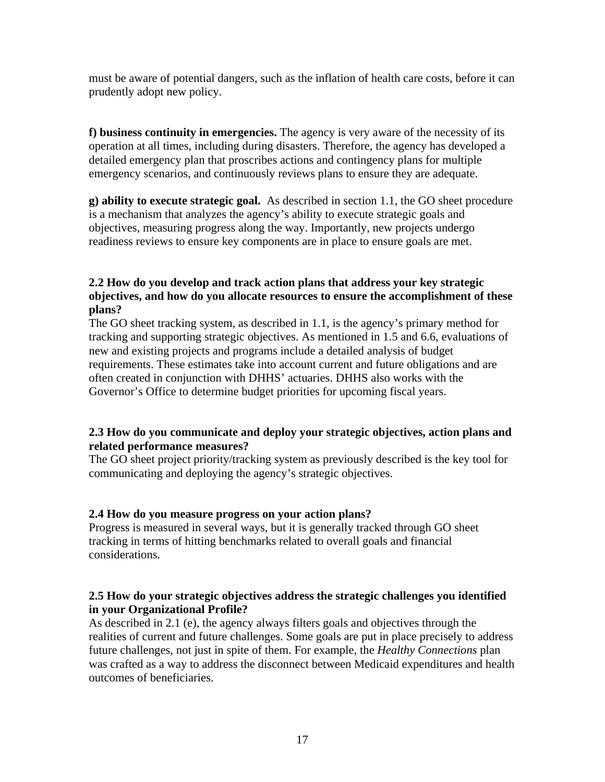must be aware of potential dangers, such as the inflation of health care costs, before it can prudently adopt new policy.

**f) business continuity in emergencies.** The agency is very aware of the necessity of its operation at all times, including during disasters. Therefore, the agency has developed a detailed emergency plan that proscribes actions and contingency plans for multiple emergency scenarios, and continuously reviews plans to ensure they are adequate.

**g) ability to execute strategic goal.** As described in section 1.1, the GO sheet procedure is a mechanism that analyzes the agency's ability to execute strategic goals and objectives, measuring progress along the way. Importantly, new projects undergo readiness reviews to ensure key components are in place to ensure goals are met.

#### **2.2 How do you develop and track action plans that address your key strategic objectives, and how do you allocate resources to ensure the accomplishment of these plans?**

The GO sheet tracking system, as described in 1.1, is the agency's primary method for tracking and supporting strategic objectives. As mentioned in 1.5 and 6.6, evaluations of new and existing projects and programs include a detailed analysis of budget requirements. These estimates take into account current and future obligations and are often created in conjunction with DHHS' actuaries. DHHS also works with the Governor's Office to determine budget priorities for upcoming fiscal years.

# **2.3 How do you communicate and deploy your strategic objectives, action plans and related performance measures?**

The GO sheet project priority/tracking system as previously described is the key tool for communicating and deploying the agency's strategic objectives.

#### **2.4 How do you measure progress on your action plans?**

Progress is measured in several ways, but it is generally tracked through GO sheet tracking in terms of hitting benchmarks related to overall goals and financial considerations.

#### **2.5 How do your strategic objectives address the strategic challenges you identified in your Organizational Profile?**

As described in 2.1 (e), the agency always filters goals and objectives through the realities of current and future challenges. Some goals are put in place precisely to address future challenges, not just in spite of them. For example, the *Healthy Connections* plan was crafted as a way to address the disconnect between Medicaid expenditures and health outcomes of beneficiaries.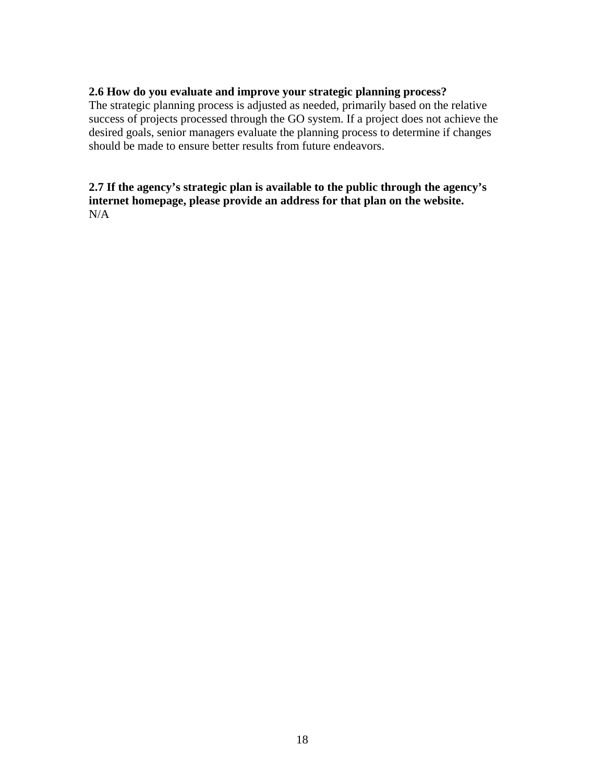#### **2.6 How do you evaluate and improve your strategic planning process?**

The strategic planning process is adjusted as needed, primarily based on the relative success of projects processed through the GO system. If a project does not achieve the desired goals, senior managers evaluate the planning process to determine if changes should be made to ensure better results from future endeavors.

# **2.7 If the agency's strategic plan is available to the public through the agency's internet homepage, please provide an address for that plan on the website.** N/A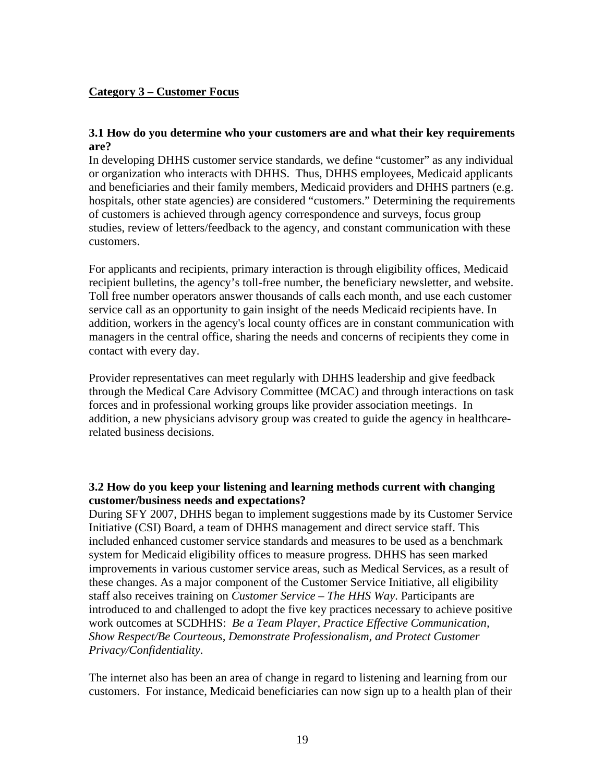#### **Category 3 – Customer Focus**

#### **3.1 How do you determine who your customers are and what their key requirements are?**

In developing DHHS customer service standards, we define "customer" as any individual or organization who interacts with DHHS. Thus, DHHS employees, Medicaid applicants and beneficiaries and their family members, Medicaid providers and DHHS partners (e.g. hospitals, other state agencies) are considered "customers." Determining the requirements of customers is achieved through agency correspondence and surveys, focus group studies, review of letters/feedback to the agency, and constant communication with these customers.

For applicants and recipients, primary interaction is through eligibility offices, Medicaid recipient bulletins, the agency's toll-free number, the beneficiary newsletter, and website. Toll free number operators answer thousands of calls each month, and use each customer service call as an opportunity to gain insight of the needs Medicaid recipients have. In addition, workers in the agency's local county offices are in constant communication with managers in the central office, sharing the needs and concerns of recipients they come in contact with every day.

Provider representatives can meet regularly with DHHS leadership and give feedback through the Medical Care Advisory Committee (MCAC) and through interactions on task forces and in professional working groups like provider association meetings. In addition, a new physicians advisory group was created to guide the agency in healthcarerelated business decisions.

#### **3.2 How do you keep your listening and learning methods current with changing customer/business needs and expectations?**

During SFY 2007, DHHS began to implement suggestions made by its Customer Service Initiative (CSI) Board, a team of DHHS management and direct service staff. This included enhanced customer service standards and measures to be used as a benchmark system for Medicaid eligibility offices to measure progress. DHHS has seen marked improvements in various customer service areas, such as Medical Services, as a result of these changes. As a major component of the Customer Service Initiative, all eligibility staff also receives training on *Customer Service – The HHS Way*. Participants are introduced to and challenged to adopt the five key practices necessary to achieve positive work outcomes at SCDHHS: *Be a Team Player, Practice Effective Communication, Show Respect/Be Courteous, Demonstrate Professionalism, and Protect Customer Privacy/Confidentiality*.

The internet also has been an area of change in regard to listening and learning from our customers. For instance, Medicaid beneficiaries can now sign up to a health plan of their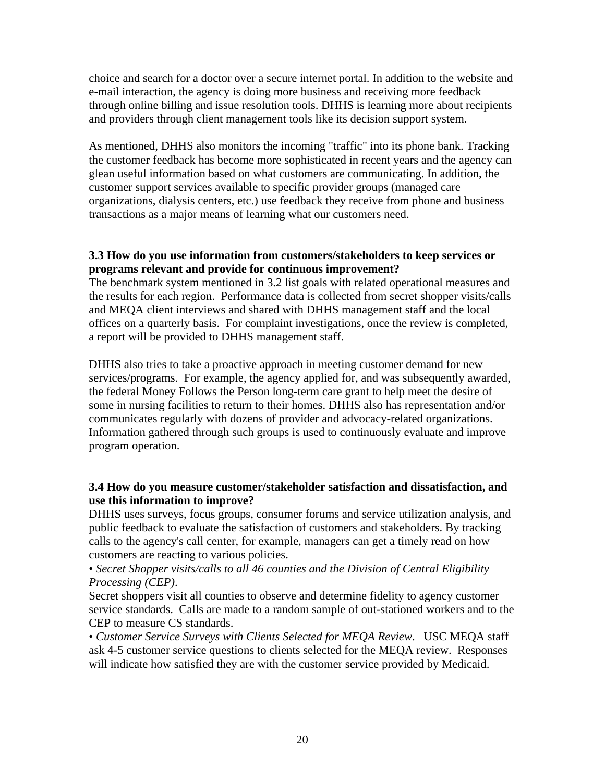choice and search for a doctor over a secure internet portal. In addition to the website and e-mail interaction, the agency is doing more business and receiving more feedback through online billing and issue resolution tools. DHHS is learning more about recipients and providers through client management tools like its decision support system.

As mentioned, DHHS also monitors the incoming "traffic" into its phone bank. Tracking the customer feedback has become more sophisticated in recent years and the agency can glean useful information based on what customers are communicating. In addition, the customer support services available to specific provider groups (managed care organizations, dialysis centers, etc.) use feedback they receive from phone and business transactions as a major means of learning what our customers need.

#### **3.3 How do you use information from customers/stakeholders to keep services or programs relevant and provide for continuous improvement?**

The benchmark system mentioned in 3.2 list goals with related operational measures and the results for each region. Performance data is collected from secret shopper visits/calls and MEQA client interviews and shared with DHHS management staff and the local offices on a quarterly basis. For complaint investigations, once the review is completed, a report will be provided to DHHS management staff.

DHHS also tries to take a proactive approach in meeting customer demand for new services/programs. For example, the agency applied for, and was subsequently awarded, the federal Money Follows the Person long-term care grant to help meet the desire of some in nursing facilities to return to their homes. DHHS also has representation and/or communicates regularly with dozens of provider and advocacy-related organizations. Information gathered through such groups is used to continuously evaluate and improve program operation.

# **3.4 How do you measure customer/stakeholder satisfaction and dissatisfaction, and use this information to improve?**

DHHS uses surveys, focus groups, consumer forums and service utilization analysis, and public feedback to evaluate the satisfaction of customers and stakeholders. By tracking calls to the agency's call center, for example, managers can get a timely read on how customers are reacting to various policies.

#### • *Secret Shopper visits/calls to all 46 counties and the Division of Central Eligibility Processing (CEP)*.

Secret shoppers visit all counties to observe and determine fidelity to agency customer service standards. Calls are made to a random sample of out-stationed workers and to the CEP to measure CS standards.

• *Customer Service Surveys with Clients Selected for MEQA Review*. USC MEQA staff ask 4-5 customer service questions to clients selected for the MEQA review. Responses will indicate how satisfied they are with the customer service provided by Medicaid.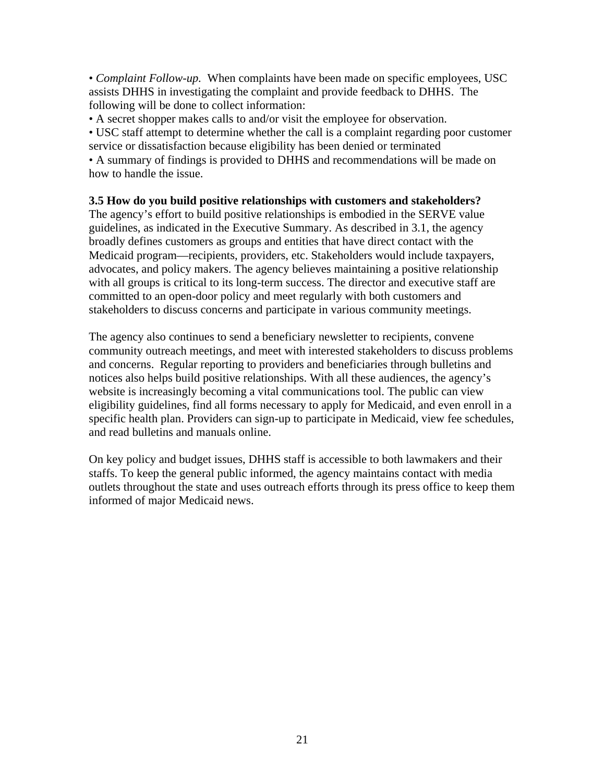• *Complaint Follow-up.* When complaints have been made on specific employees, USC assists DHHS in investigating the complaint and provide feedback to DHHS. The following will be done to collect information:

• A secret shopper makes calls to and/or visit the employee for observation.

• USC staff attempt to determine whether the call is a complaint regarding poor customer service or dissatisfaction because eligibility has been denied or terminated

• A summary of findings is provided to DHHS and recommendations will be made on how to handle the issue.

#### **3.5 How do you build positive relationships with customers and stakeholders?**

The agency's effort to build positive relationships is embodied in the SERVE value guidelines, as indicated in the Executive Summary. As described in 3.1, the agency broadly defines customers as groups and entities that have direct contact with the Medicaid program—recipients, providers, etc. Stakeholders would include taxpayers, advocates, and policy makers. The agency believes maintaining a positive relationship with all groups is critical to its long-term success. The director and executive staff are committed to an open-door policy and meet regularly with both customers and stakeholders to discuss concerns and participate in various community meetings.

The agency also continues to send a beneficiary newsletter to recipients, convene community outreach meetings, and meet with interested stakeholders to discuss problems and concerns. Regular reporting to providers and beneficiaries through bulletins and notices also helps build positive relationships. With all these audiences, the agency's website is increasingly becoming a vital communications tool. The public can view eligibility guidelines, find all forms necessary to apply for Medicaid, and even enroll in a specific health plan. Providers can sign-up to participate in Medicaid, view fee schedules, and read bulletins and manuals online.

On key policy and budget issues, DHHS staff is accessible to both lawmakers and their staffs. To keep the general public informed, the agency maintains contact with media outlets throughout the state and uses outreach efforts through its press office to keep them informed of major Medicaid news.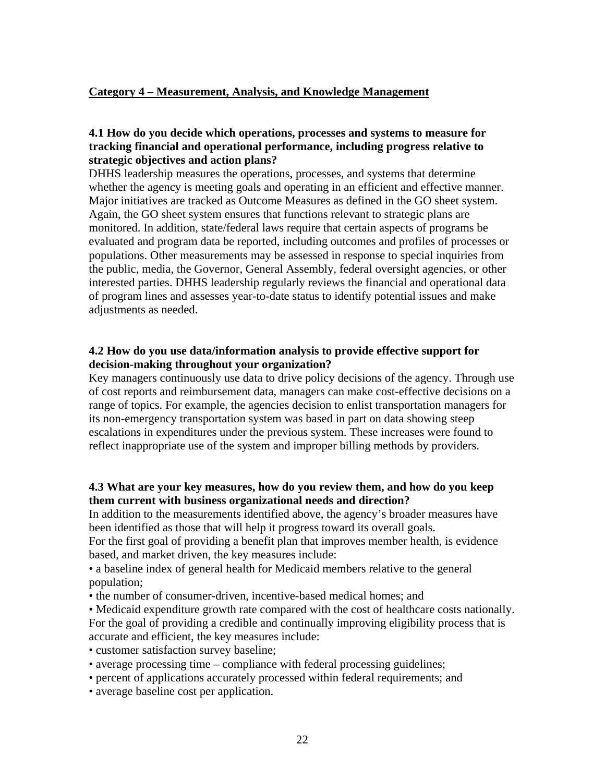#### **Category 4 – Measurement, Analysis, and Knowledge Management**

#### **4.1 How do you decide which operations, processes and systems to measure for tracking financial and operational performance, including progress relative to strategic objectives and action plans?**

DHHS leadership measures the operations, processes, and systems that determine whether the agency is meeting goals and operating in an efficient and effective manner. Major initiatives are tracked as Outcome Measures as defined in the GO sheet system. Again, the GO sheet system ensures that functions relevant to strategic plans are monitored. In addition, state/federal laws require that certain aspects of programs be evaluated and program data be reported, including outcomes and profiles of processes or populations. Other measurements may be assessed in response to special inquiries from the public, media, the Governor, General Assembly, federal oversight agencies, or other interested parties. DHHS leadership regularly reviews the financial and operational data of program lines and assesses year-to-date status to identify potential issues and make adjustments as needed.

#### **4.2 How do you use data/information analysis to provide effective support for decision-making throughout your organization?**

Key managers continuously use data to drive policy decisions of the agency. Through use of cost reports and reimbursement data, managers can make cost-effective decisions on a range of topics. For example, the agencies decision to enlist transportation managers for its non-emergency transportation system was based in part on data showing steep escalations in expenditures under the previous system. These increases were found to reflect inappropriate use of the system and improper billing methods by providers.

#### **4.3 What are your key measures, how do you review them, and how do you keep them current with business organizational needs and direction?**

In addition to the measurements identified above, the agency's broader measures have been identified as those that will help it progress toward its overall goals.

For the first goal of providing a benefit plan that improves member health, is evidence based, and market driven, the key measures include:

• a baseline index of general health for Medicaid members relative to the general population;

• the number of consumer-driven, incentive-based medical homes; and

• Medicaid expenditure growth rate compared with the cost of healthcare costs nationally. For the goal of providing a credible and continually improving eligibility process that is accurate and efficient, the key measures include:

- customer satisfaction survey baseline;
- average processing time compliance with federal processing guidelines;
- percent of applications accurately processed within federal requirements; and
- average baseline cost per application.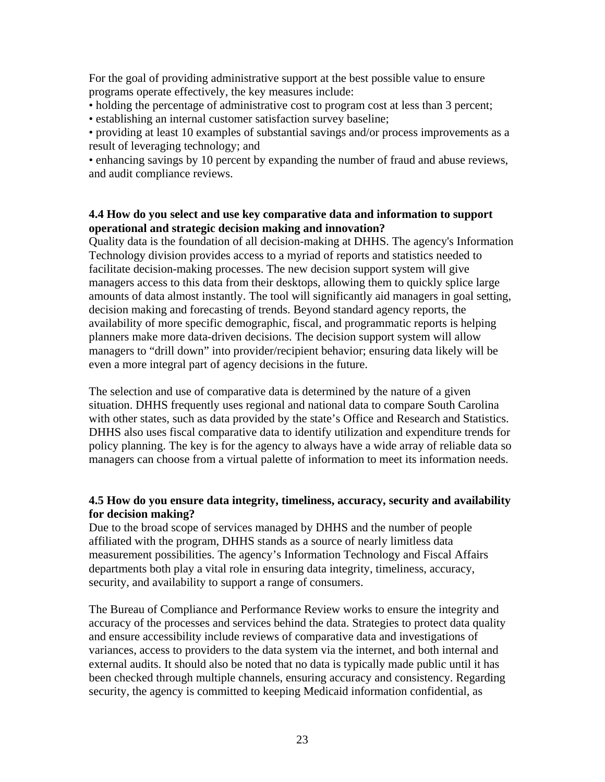For the goal of providing administrative support at the best possible value to ensure programs operate effectively, the key measures include:

• holding the percentage of administrative cost to program cost at less than 3 percent;

• establishing an internal customer satisfaction survey baseline;

• providing at least 10 examples of substantial savings and/or process improvements as a result of leveraging technology; and

• enhancing savings by 10 percent by expanding the number of fraud and abuse reviews, and audit compliance reviews.

#### **4.4 How do you select and use key comparative data and information to support operational and strategic decision making and innovation?**

Quality data is the foundation of all decision-making at DHHS. The agency's Information Technology division provides access to a myriad of reports and statistics needed to facilitate decision-making processes. The new decision support system will give managers access to this data from their desktops, allowing them to quickly splice large amounts of data almost instantly. The tool will significantly aid managers in goal setting, decision making and forecasting of trends. Beyond standard agency reports, the availability of more specific demographic, fiscal, and programmatic reports is helping planners make more data-driven decisions. The decision support system will allow managers to "drill down" into provider/recipient behavior; ensuring data likely will be even a more integral part of agency decisions in the future.

The selection and use of comparative data is determined by the nature of a given situation. DHHS frequently uses regional and national data to compare South Carolina with other states, such as data provided by the state's Office and Research and Statistics. DHHS also uses fiscal comparative data to identify utilization and expenditure trends for policy planning. The key is for the agency to always have a wide array of reliable data so managers can choose from a virtual palette of information to meet its information needs.

# **4.5 How do you ensure data integrity, timeliness, accuracy, security and availability for decision making?**

Due to the broad scope of services managed by DHHS and the number of people affiliated with the program, DHHS stands as a source of nearly limitless data measurement possibilities. The agency's Information Technology and Fiscal Affairs departments both play a vital role in ensuring data integrity, timeliness, accuracy, security, and availability to support a range of consumers.

The Bureau of Compliance and Performance Review works to ensure the integrity and accuracy of the processes and services behind the data. Strategies to protect data quality and ensure accessibility include reviews of comparative data and investigations of variances, access to providers to the data system via the internet, and both internal and external audits. It should also be noted that no data is typically made public until it has been checked through multiple channels, ensuring accuracy and consistency. Regarding security, the agency is committed to keeping Medicaid information confidential, as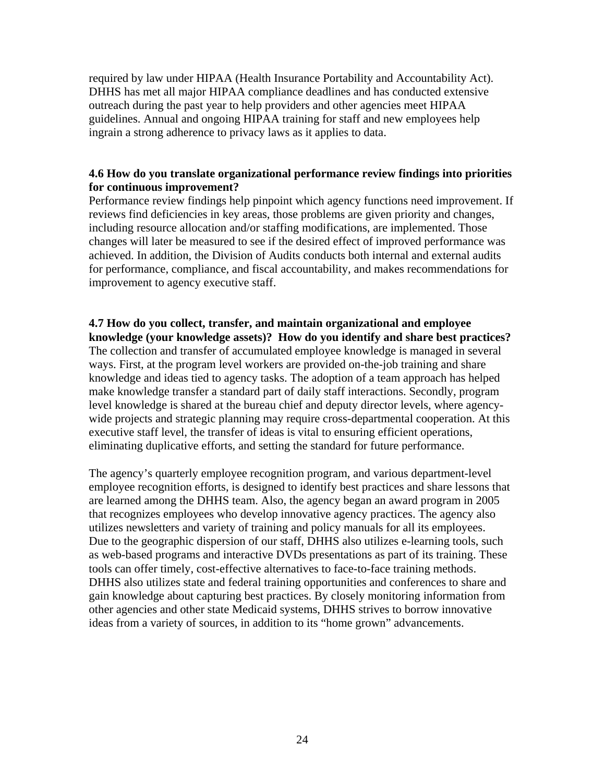required by law under HIPAA (Health Insurance Portability and Accountability Act). DHHS has met all major HIPAA compliance deadlines and has conducted extensive outreach during the past year to help providers and other agencies meet HIPAA guidelines. Annual and ongoing HIPAA training for staff and new employees help ingrain a strong adherence to privacy laws as it applies to data.

#### **4.6 How do you translate organizational performance review findings into priorities for continuous improvement?**

Performance review findings help pinpoint which agency functions need improvement. If reviews find deficiencies in key areas, those problems are given priority and changes, including resource allocation and/or staffing modifications, are implemented. Those changes will later be measured to see if the desired effect of improved performance was achieved. In addition, the Division of Audits conducts both internal and external audits for performance, compliance, and fiscal accountability, and makes recommendations for improvement to agency executive staff.

# **4.7 How do you collect, transfer, and maintain organizational and employee**

**knowledge (your knowledge assets)? How do you identify and share best practices?** The collection and transfer of accumulated employee knowledge is managed in several ways. First, at the program level workers are provided on-the-job training and share knowledge and ideas tied to agency tasks. The adoption of a team approach has helped make knowledge transfer a standard part of daily staff interactions. Secondly, program level knowledge is shared at the bureau chief and deputy director levels, where agencywide projects and strategic planning may require cross-departmental cooperation. At this executive staff level, the transfer of ideas is vital to ensuring efficient operations, eliminating duplicative efforts, and setting the standard for future performance.

The agency's quarterly employee recognition program, and various department-level employee recognition efforts, is designed to identify best practices and share lessons that are learned among the DHHS team. Also, the agency began an award program in 2005 that recognizes employees who develop innovative agency practices. The agency also utilizes newsletters and variety of training and policy manuals for all its employees. Due to the geographic dispersion of our staff, DHHS also utilizes e-learning tools, such as web-based programs and interactive DVDs presentations as part of its training. These tools can offer timely, cost-effective alternatives to face-to-face training methods. DHHS also utilizes state and federal training opportunities and conferences to share and gain knowledge about capturing best practices. By closely monitoring information from other agencies and other state Medicaid systems, DHHS strives to borrow innovative ideas from a variety of sources, in addition to its "home grown" advancements.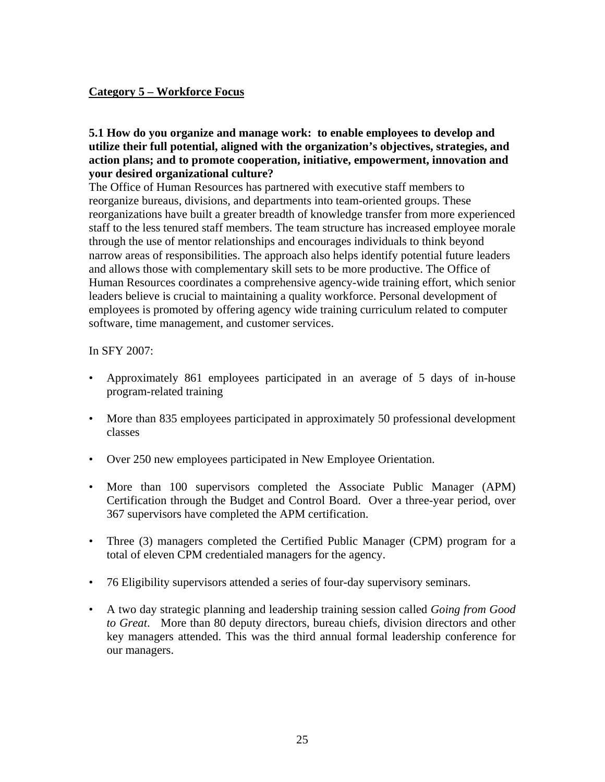# **Category 5 – Workforce Focus**

#### **5.1 How do you organize and manage work: to enable employees to develop and utilize their full potential, aligned with the organization's objectives, strategies, and action plans; and to promote cooperation, initiative, empowerment, innovation and your desired organizational culture?**

The Office of Human Resources has partnered with executive staff members to reorganize bureaus, divisions, and departments into team-oriented groups. These reorganizations have built a greater breadth of knowledge transfer from more experienced staff to the less tenured staff members. The team structure has increased employee morale through the use of mentor relationships and encourages individuals to think beyond narrow areas of responsibilities. The approach also helps identify potential future leaders and allows those with complementary skill sets to be more productive. The Office of Human Resources coordinates a comprehensive agency-wide training effort, which senior leaders believe is crucial to maintaining a quality workforce. Personal development of employees is promoted by offering agency wide training curriculum related to computer software, time management, and customer services.

#### In SFY 2007:

- Approximately 861 employees participated in an average of 5 days of in-house program-related training
- More than 835 employees participated in approximately 50 professional development classes
- Over 250 new employees participated in New Employee Orientation.
- More than 100 supervisors completed the Associate Public Manager (APM) Certification through the Budget and Control Board. Over a three-year period, over 367 supervisors have completed the APM certification.
- Three (3) managers completed the Certified Public Manager (CPM) program for a total of eleven CPM credentialed managers for the agency.
- 76 Eligibility supervisors attended a series of four-day supervisory seminars.
- A two day strategic planning and leadership training session called *Going from Good to Great*. More than 80 deputy directors, bureau chiefs, division directors and other key managers attended. This was the third annual formal leadership conference for our managers.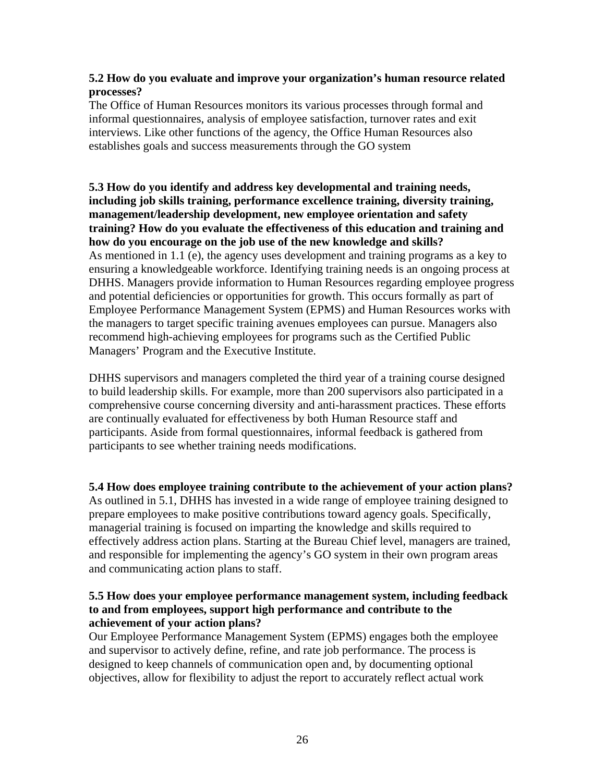#### **5.2 How do you evaluate and improve your organization's human resource related processes?**

The Office of Human Resources monitors its various processes through formal and informal questionnaires, analysis of employee satisfaction, turnover rates and exit interviews. Like other functions of the agency, the Office Human Resources also establishes goals and success measurements through the GO system

**5.3 How do you identify and address key developmental and training needs, including job skills training, performance excellence training, diversity training, management/leadership development, new employee orientation and safety training? How do you evaluate the effectiveness of this education and training and how do you encourage on the job use of the new knowledge and skills?** As mentioned in 1.1 (e), the agency uses development and training programs as a key to ensuring a knowledgeable workforce. Identifying training needs is an ongoing process at DHHS. Managers provide information to Human Resources regarding employee progress and potential deficiencies or opportunities for growth. This occurs formally as part of Employee Performance Management System (EPMS) and Human Resources works with the managers to target specific training avenues employees can pursue. Managers also recommend high-achieving employees for programs such as the Certified Public Managers' Program and the Executive Institute.

DHHS supervisors and managers completed the third year of a training course designed to build leadership skills. For example, more than 200 supervisors also participated in a comprehensive course concerning diversity and anti-harassment practices. These efforts are continually evaluated for effectiveness by both Human Resource staff and participants. Aside from formal questionnaires, informal feedback is gathered from participants to see whether training needs modifications.

**5.4 How does employee training contribute to the achievement of your action plans?**  As outlined in 5.1, DHHS has invested in a wide range of employee training designed to prepare employees to make positive contributions toward agency goals. Specifically, managerial training is focused on imparting the knowledge and skills required to effectively address action plans. Starting at the Bureau Chief level, managers are trained, and responsible for implementing the agency's GO system in their own program areas and communicating action plans to staff.

#### **5.5 How does your employee performance management system, including feedback to and from employees, support high performance and contribute to the achievement of your action plans?**

Our Employee Performance Management System (EPMS) engages both the employee and supervisor to actively define, refine, and rate job performance. The process is designed to keep channels of communication open and, by documenting optional objectives, allow for flexibility to adjust the report to accurately reflect actual work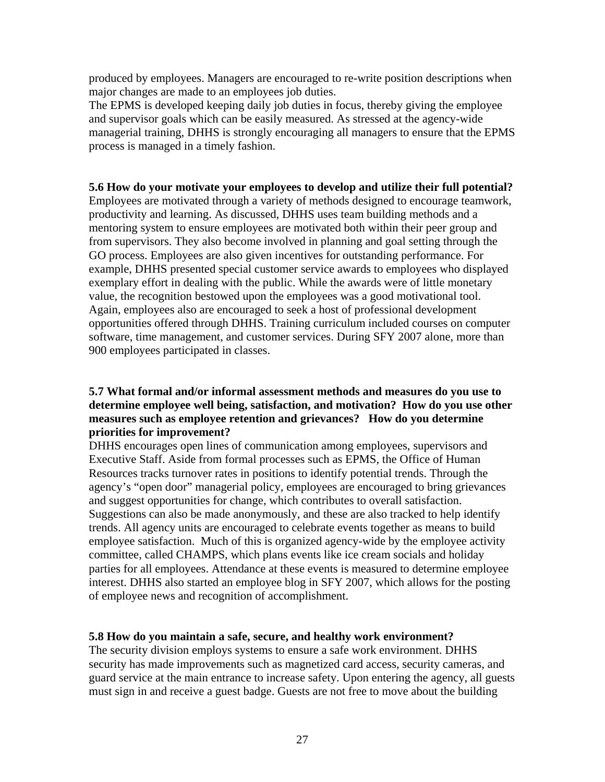produced by employees. Managers are encouraged to re-write position descriptions when major changes are made to an employees job duties.

The EPMS is developed keeping daily job duties in focus, thereby giving the employee and supervisor goals which can be easily measured. As stressed at the agency-wide managerial training, DHHS is strongly encouraging all managers to ensure that the EPMS process is managed in a timely fashion.

#### **5.6 How do your motivate your employees to develop and utilize their full potential?**

Employees are motivated through a variety of methods designed to encourage teamwork, productivity and learning. As discussed, DHHS uses team building methods and a mentoring system to ensure employees are motivated both within their peer group and from supervisors. They also become involved in planning and goal setting through the GO process. Employees are also given incentives for outstanding performance. For example, DHHS presented special customer service awards to employees who displayed exemplary effort in dealing with the public. While the awards were of little monetary value, the recognition bestowed upon the employees was a good motivational tool. Again, employees also are encouraged to seek a host of professional development opportunities offered through DHHS. Training curriculum included courses on computer software, time management, and customer services. During SFY 2007 alone, more than 900 employees participated in classes.

#### **5.7 What formal and/or informal assessment methods and measures do you use to determine employee well being, satisfaction, and motivation? How do you use other measures such as employee retention and grievances? How do you determine priorities for improvement?**

DHHS encourages open lines of communication among employees, supervisors and Executive Staff. Aside from formal processes such as EPMS, the Office of Human Resources tracks turnover rates in positions to identify potential trends. Through the agency's "open door" managerial policy, employees are encouraged to bring grievances and suggest opportunities for change, which contributes to overall satisfaction. Suggestions can also be made anonymously, and these are also tracked to help identify trends. All agency units are encouraged to celebrate events together as means to build employee satisfaction. Much of this is organized agency-wide by the employee activity committee, called CHAMPS, which plans events like ice cream socials and holiday parties for all employees. Attendance at these events is measured to determine employee interest. DHHS also started an employee blog in SFY 2007, which allows for the posting of employee news and recognition of accomplishment.

#### **5.8 How do you maintain a safe, secure, and healthy work environment?**

The security division employs systems to ensure a safe work environment. DHHS security has made improvements such as magnetized card access, security cameras, and guard service at the main entrance to increase safety. Upon entering the agency, all guests must sign in and receive a guest badge. Guests are not free to move about the building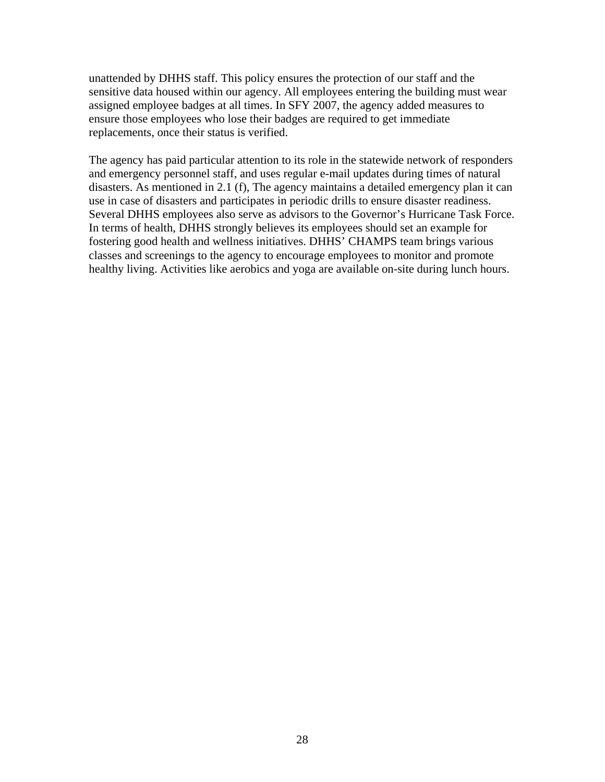unattended by DHHS staff. This policy ensures the protection of our staff and the sensitive data housed within our agency. All employees entering the building must wear assigned employee badges at all times. In SFY 2007, the agency added measures to ensure those employees who lose their badges are required to get immediate replacements, once their status is verified.

The agency has paid particular attention to its role in the statewide network of responders and emergency personnel staff, and uses regular e-mail updates during times of natural disasters. As mentioned in 2.1 (f), The agency maintains a detailed emergency plan it can use in case of disasters and participates in periodic drills to ensure disaster readiness. Several DHHS employees also serve as advisors to the Governor's Hurricane Task Force. In terms of health, DHHS strongly believes its employees should set an example for fostering good health and wellness initiatives. DHHS' CHAMPS team brings various classes and screenings to the agency to encourage employees to monitor and promote healthy living. Activities like aerobics and yoga are available on-site during lunch hours.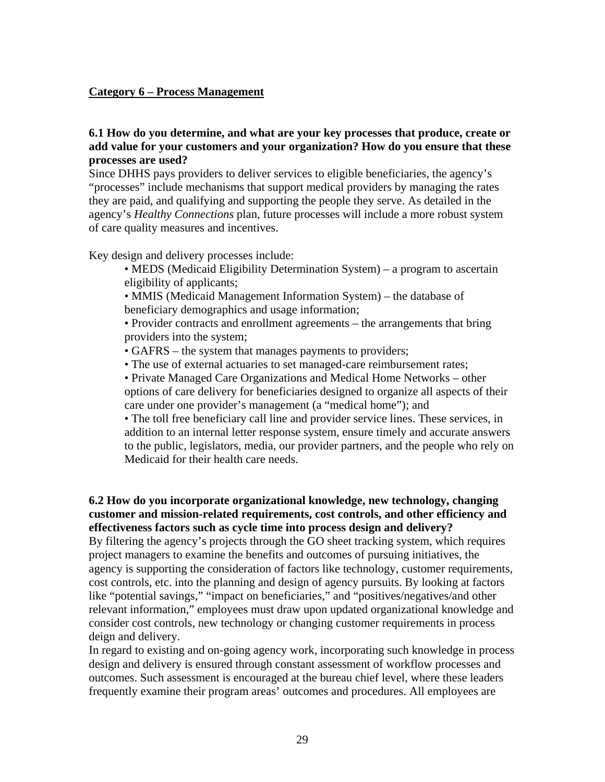#### **Category 6 – Process Management**

#### **6.1 How do you determine, and what are your key processes that produce, create or add value for your customers and your organization? How do you ensure that these processes are used?**

Since DHHS pays providers to deliver services to eligible beneficiaries, the agency's "processes" include mechanisms that support medical providers by managing the rates they are paid, and qualifying and supporting the people they serve. As detailed in the agency's *Healthy Connections* plan, future processes will include a more robust system of care quality measures and incentives.

Key design and delivery processes include:

- MEDS (Medicaid Eligibility Determination System) a program to ascertain eligibility of applicants;
- MMIS (Medicaid Management Information System) the database of beneficiary demographics and usage information;

 • Provider contracts and enrollment agreements – the arrangements that bring providers into the system;

- GAFRS the system that manages payments to providers;
- The use of external actuaries to set managed-care reimbursement rates;

 • Private Managed Care Organizations and Medical Home Networks – other options of care delivery for beneficiaries designed to organize all aspects of their care under one provider's management (a "medical home"); and

 • The toll free beneficiary call line and provider service lines. These services, in addition to an internal letter response system, ensure timely and accurate answers to the public, legislators, media, our provider partners, and the people who rely on Medicaid for their health care needs.

#### **6.2 How do you incorporate organizational knowledge, new technology, changing customer and mission-related requirements, cost controls, and other efficiency and effectiveness factors such as cycle time into process design and delivery?**

By filtering the agency's projects through the GO sheet tracking system, which requires project managers to examine the benefits and outcomes of pursuing initiatives, the agency is supporting the consideration of factors like technology, customer requirements, cost controls, etc. into the planning and design of agency pursuits. By looking at factors like "potential savings," "impact on beneficiaries," and "positives/negatives/and other relevant information," employees must draw upon updated organizational knowledge and consider cost controls, new technology or changing customer requirements in process deign and delivery.

In regard to existing and on-going agency work, incorporating such knowledge in process design and delivery is ensured through constant assessment of workflow processes and outcomes. Such assessment is encouraged at the bureau chief level, where these leaders frequently examine their program areas' outcomes and procedures. All employees are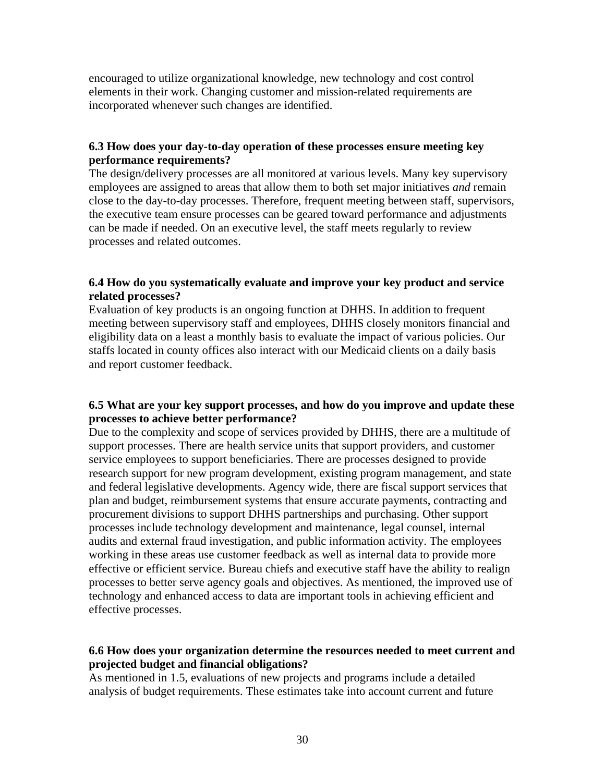encouraged to utilize organizational knowledge, new technology and cost control elements in their work. Changing customer and mission-related requirements are incorporated whenever such changes are identified.

#### **6.3 How does your day-to-day operation of these processes ensure meeting key performance requirements?**

The design/delivery processes are all monitored at various levels. Many key supervisory employees are assigned to areas that allow them to both set major initiatives *and* remain close to the day-to-day processes. Therefore, frequent meeting between staff, supervisors, the executive team ensure processes can be geared toward performance and adjustments can be made if needed. On an executive level, the staff meets regularly to review processes and related outcomes.

#### **6.4 How do you systematically evaluate and improve your key product and service related processes?**

Evaluation of key products is an ongoing function at DHHS. In addition to frequent meeting between supervisory staff and employees, DHHS closely monitors financial and eligibility data on a least a monthly basis to evaluate the impact of various policies. Our staffs located in county offices also interact with our Medicaid clients on a daily basis and report customer feedback.

#### **6.5 What are your key support processes, and how do you improve and update these processes to achieve better performance?**

Due to the complexity and scope of services provided by DHHS, there are a multitude of support processes. There are health service units that support providers, and customer service employees to support beneficiaries. There are processes designed to provide research support for new program development, existing program management, and state and federal legislative developments. Agency wide, there are fiscal support services that plan and budget, reimbursement systems that ensure accurate payments, contracting and procurement divisions to support DHHS partnerships and purchasing. Other support processes include technology development and maintenance, legal counsel, internal audits and external fraud investigation, and public information activity. The employees working in these areas use customer feedback as well as internal data to provide more effective or efficient service. Bureau chiefs and executive staff have the ability to realign processes to better serve agency goals and objectives. As mentioned, the improved use of technology and enhanced access to data are important tools in achieving efficient and effective processes.

#### **6.6 How does your organization determine the resources needed to meet current and projected budget and financial obligations?**

As mentioned in 1.5, evaluations of new projects and programs include a detailed analysis of budget requirements. These estimates take into account current and future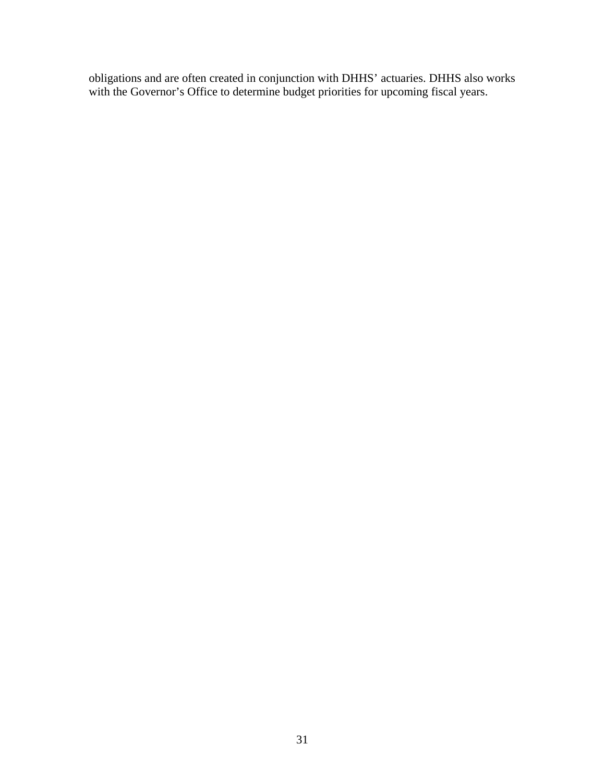obligations and are often created in conjunction with DHHS' actuaries. DHHS also works with the Governor's Office to determine budget priorities for upcoming fiscal years.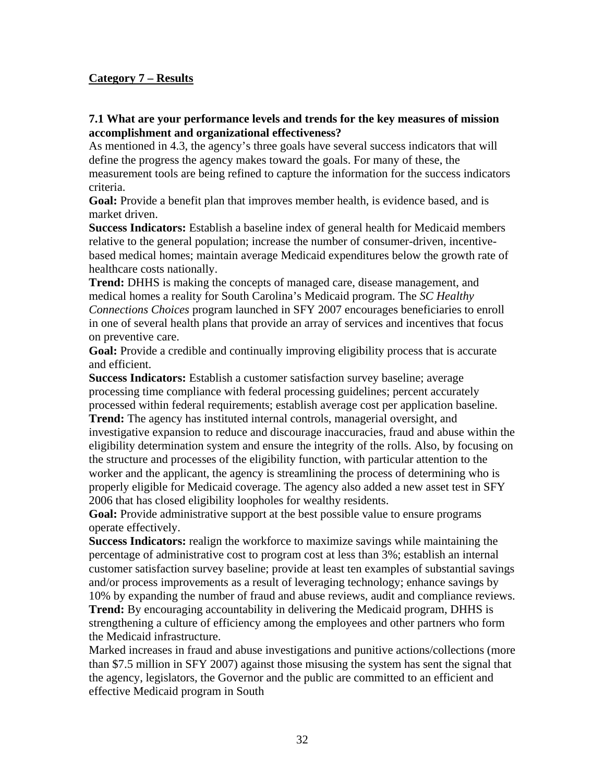# **Category 7 – Results**

#### **7.1 What are your performance levels and trends for the key measures of mission accomplishment and organizational effectiveness?**

As mentioned in 4.3, the agency's three goals have several success indicators that will define the progress the agency makes toward the goals. For many of these, the measurement tools are being refined to capture the information for the success indicators criteria.

**Goal:** Provide a benefit plan that improves member health, is evidence based, and is market driven.

**Success Indicators:** Establish a baseline index of general health for Medicaid members relative to the general population; increase the number of consumer-driven, incentivebased medical homes; maintain average Medicaid expenditures below the growth rate of healthcare costs nationally.

**Trend:** DHHS is making the concepts of managed care, disease management, and medical homes a reality for South Carolina's Medicaid program. The *SC Healthy Connections Choices* program launched in SFY 2007 encourages beneficiaries to enroll in one of several health plans that provide an array of services and incentives that focus on preventive care.

**Goal:** Provide a credible and continually improving eligibility process that is accurate and efficient.

**Success Indicators:** Establish a customer satisfaction survey baseline; average processing time compliance with federal processing guidelines; percent accurately processed within federal requirements; establish average cost per application baseline. **Trend:** The agency has instituted internal controls, managerial oversight, and investigative expansion to reduce and discourage inaccuracies, fraud and abuse within the eligibility determination system and ensure the integrity of the rolls. Also, by focusing on the structure and processes of the eligibility function, with particular attention to the worker and the applicant, the agency is streamlining the process of determining who is properly eligible for Medicaid coverage. The agency also added a new asset test in SFY 2006 that has closed eligibility loopholes for wealthy residents.

**Goal:** Provide administrative support at the best possible value to ensure programs operate effectively.

**Success Indicators:** realign the workforce to maximize savings while maintaining the percentage of administrative cost to program cost at less than 3%; establish an internal customer satisfaction survey baseline; provide at least ten examples of substantial savings and/or process improvements as a result of leveraging technology; enhance savings by 10% by expanding the number of fraud and abuse reviews, audit and compliance reviews. **Trend:** By encouraging accountability in delivering the Medicaid program, DHHS is strengthening a culture of efficiency among the employees and other partners who form the Medicaid infrastructure.

Marked increases in fraud and abuse investigations and punitive actions/collections (more than \$7.5 million in SFY 2007) against those misusing the system has sent the signal that the agency, legislators, the Governor and the public are committed to an efficient and effective Medicaid program in South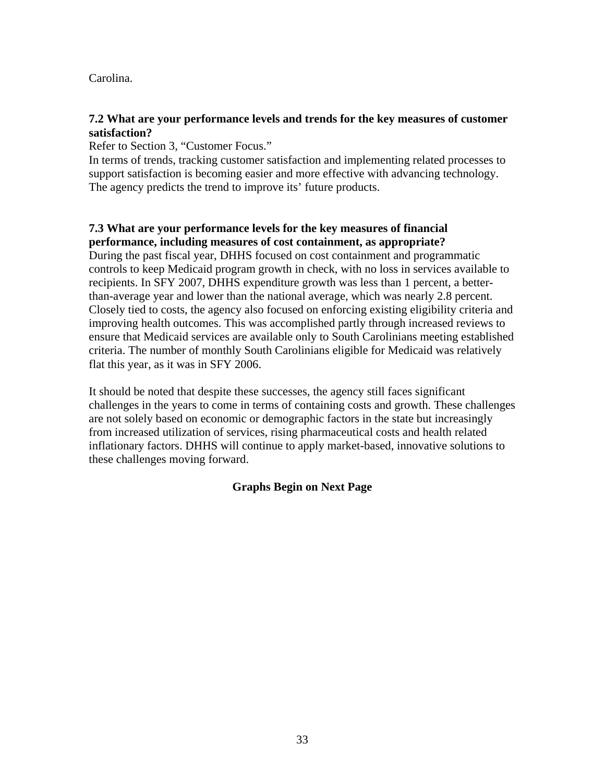Carolina.

#### **7.2 What are your performance levels and trends for the key measures of customer satisfaction?**

Refer to Section 3, "Customer Focus."

In terms of trends, tracking customer satisfaction and implementing related processes to support satisfaction is becoming easier and more effective with advancing technology. The agency predicts the trend to improve its' future products.

# **7.3 What are your performance levels for the key measures of financial performance, including measures of cost containment, as appropriate?**

During the past fiscal year, DHHS focused on cost containment and programmatic controls to keep Medicaid program growth in check, with no loss in services available to recipients. In SFY 2007, DHHS expenditure growth was less than 1 percent, a betterthan-average year and lower than the national average, which was nearly 2.8 percent. Closely tied to costs, the agency also focused on enforcing existing eligibility criteria and improving health outcomes. This was accomplished partly through increased reviews to ensure that Medicaid services are available only to South Carolinians meeting established criteria. The number of monthly South Carolinians eligible for Medicaid was relatively flat this year, as it was in SFY 2006.

It should be noted that despite these successes, the agency still faces significant challenges in the years to come in terms of containing costs and growth. These challenges are not solely based on economic or demographic factors in the state but increasingly from increased utilization of services, rising pharmaceutical costs and health related inflationary factors. DHHS will continue to apply market-based, innovative solutions to these challenges moving forward.

# **Graphs Begin on Next Page**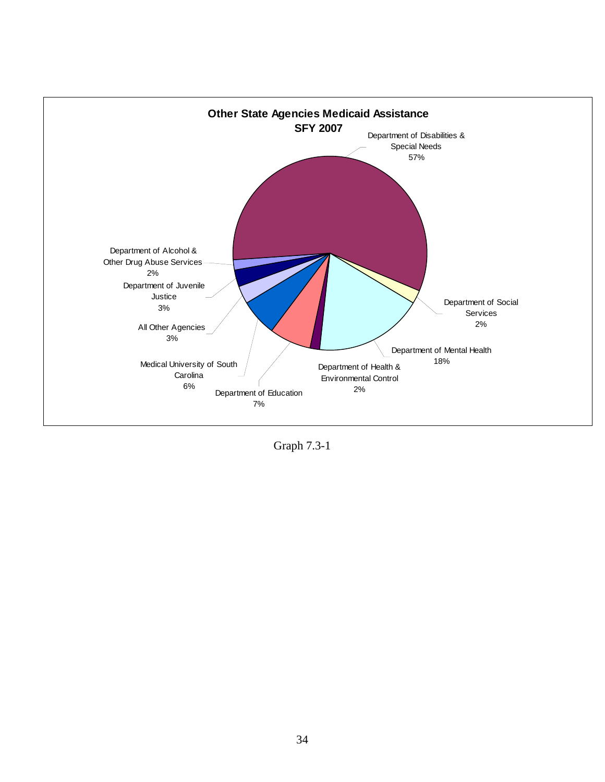

Graph 7.3-1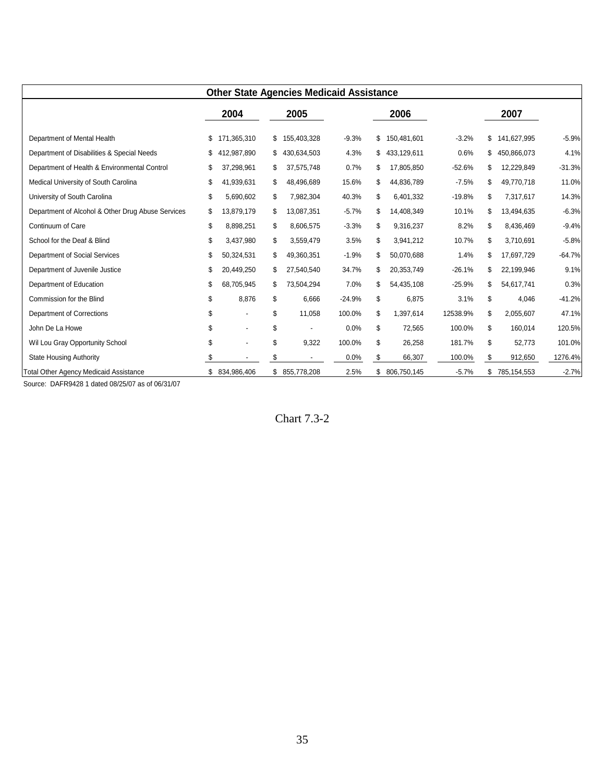| <b>Other State Agencies Medicaid Assistance</b>   |    |                |    |                |          |    |             |          |                   |          |
|---------------------------------------------------|----|----------------|----|----------------|----------|----|-------------|----------|-------------------|----------|
|                                                   |    | 2004           |    | 2005           |          |    | 2006        |          | 2007              |          |
| Department of Mental Health                       |    | 171,365,310    | \$ | 155,403,328    | $-9.3%$  | \$ | 150,481,601 | $-3.2%$  | \$<br>141,627,995 | $-5.9%$  |
| Department of Disabilities & Special Needs        |    | 412,987,890    | S  | 430,634,503    | 4.3%     | \$ | 433,129,611 | 0.6%     | \$<br>450,866,073 | 4.1%     |
| Department of Health & Environmental Control      |    | 37,298,961     |    | 37,575,748     | 0.7%     | \$ | 17,805,850  | $-52.6%$ | \$<br>12,229,849  | $-31.3%$ |
| Medical University of South Carolina              | \$ | 41,939,631     | S  | 48,496,689     | 15.6%    | \$ | 44,836,789  | $-7.5%$  | \$<br>49,770,718  | 11.0%    |
| University of South Carolina                      | \$ | 5,690,602      | S  | 7,982,304      | 40.3%    | \$ | 6,401,332   | $-19.8%$ | \$<br>7,317,617   | 14.3%    |
| Department of Alcohol & Other Drug Abuse Services | \$ | 13,879,179     | S  | 13,087,351     | $-5.7%$  | \$ | 14,408,349  | 10.1%    | \$<br>13,494,635  | $-6.3%$  |
| Continuum of Care                                 | \$ | 8,898,251      | S  | 8,606,575      | $-3.3%$  | \$ | 9,316,237   | 8.2%     | \$<br>8,436,469   | $-9.4%$  |
| School for the Deaf & Blind                       | \$ | 3,437,980      | \$ | 3,559,479      | 3.5%     | \$ | 3,941,212   | 10.7%    | \$<br>3,710,691   | $-5.8%$  |
| Department of Social Services                     | \$ | 50,324,531     | S  | 49,360,351     | $-1.9%$  | \$ | 50,070,688  | 1.4%     | \$<br>17,697,729  | $-64.7%$ |
| Department of Juvenile Justice                    | \$ | 20,449,250     | \$ | 27,540,540     | 34.7%    | \$ | 20,353,749  | $-26.1%$ | \$<br>22,199,946  | 9.1%     |
| Department of Education                           | \$ | 68,705,945     |    | 73,504,294     | 7.0%     | \$ | 54,435,108  | $-25.9%$ | \$<br>54,617,741  | 0.3%     |
| Commission for the Blind                          | \$ | 8,876          | \$ | 6,666          | $-24.9%$ | \$ | 6,875       | 3.1%     | \$<br>4,046       | $-41.2%$ |
| Department of Corrections                         | \$ |                | \$ | 11,058         | 100.0%   | \$ | 1,397,614   | 12538.9% | \$<br>2,055,607   | 47.1%    |
| John De La Howe                                   | \$ |                | \$ | $\blacksquare$ | 0.0%     | \$ | 72,565      | 100.0%   | \$<br>160,014     | 120.5%   |
| Wil Lou Gray Opportunity School                   | \$ |                | \$ | 9,322          | 100.0%   | \$ | 26,258      | 181.7%   | \$<br>52,773      | 101.0%   |
| <b>State Housing Authority</b>                    |    |                |    |                | 0.0%     | \$ | 66,307      | 100.0%   | \$<br>912,650     | 1276.4%  |
| Total Other Agency Medicaid Assistance            |    | \$ 834,986,406 |    | \$ 855,778,208 | 2.5%     | S. | 806,750,145 | $-5.7%$  | \$<br>785,154,553 | $-2.7%$  |

Source: DAFR9428 1 dated 08/25/07 as of 06/31/07

Chart 7.3-2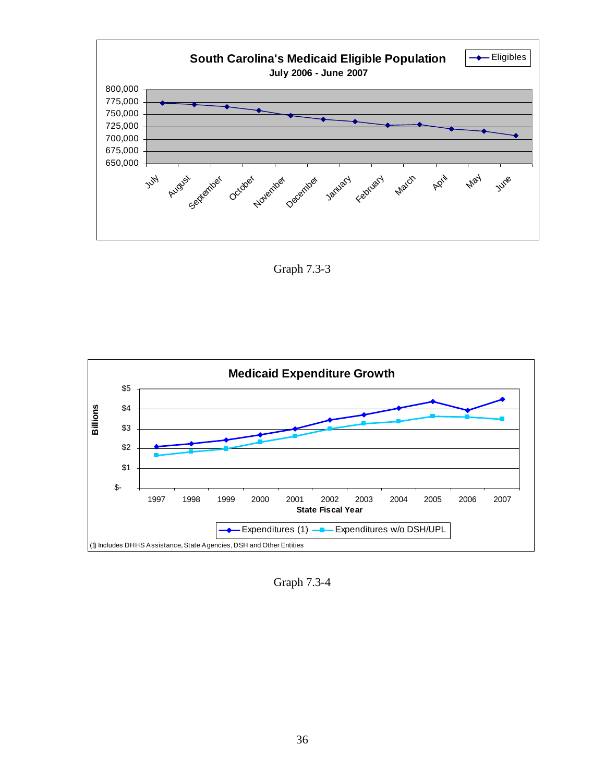

Graph 7.3-3



Graph 7.3-4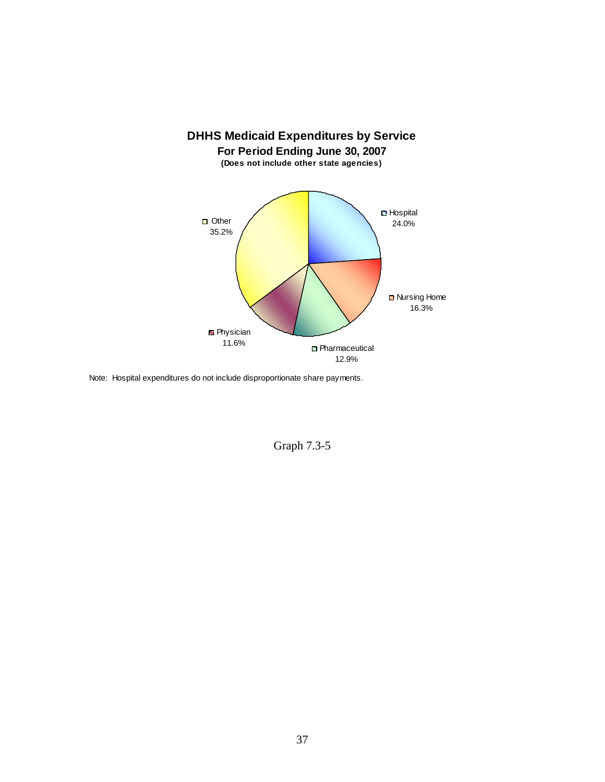

Note: Hospital expenditures do not include disproportionate share payments.

Graph 7.3-5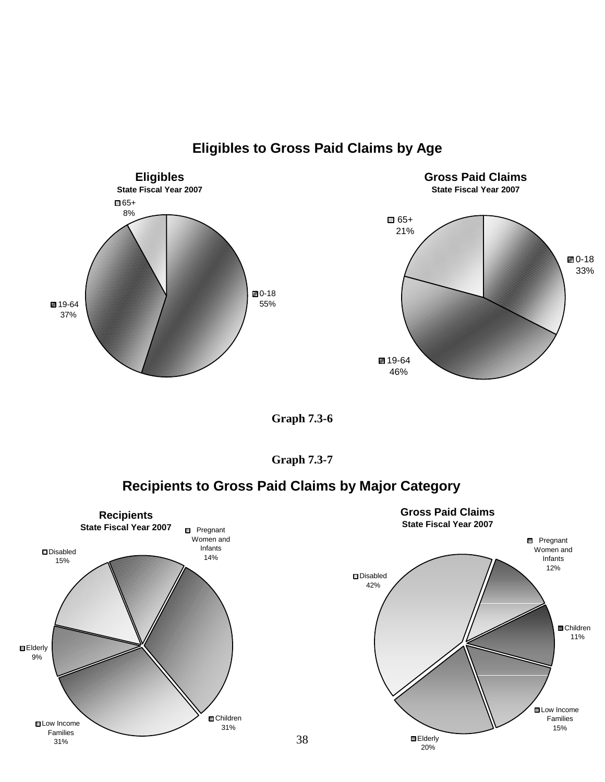

**Eligibles to Gross Paid Claims by Age**

 $\blacksquare$ 0-18 33%

**Graph 7.3-6** 



# **Recipients to Gross Paid Claims by Major Category**

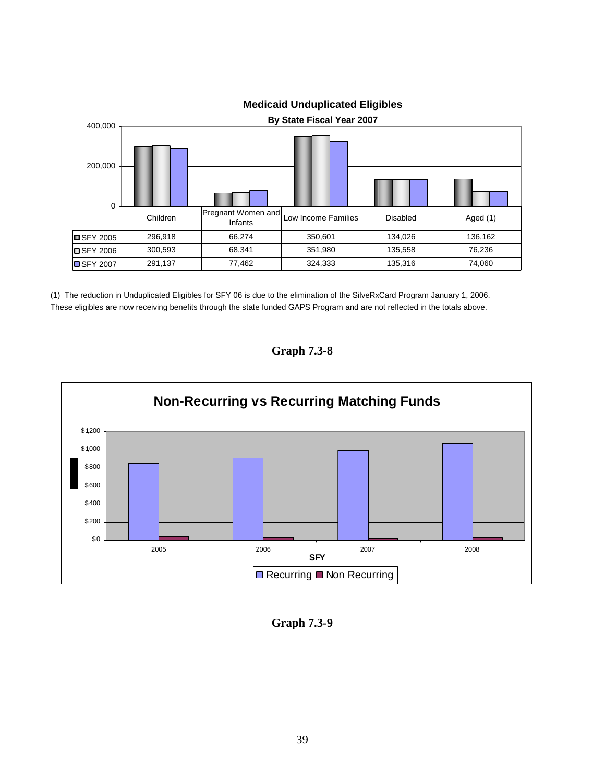

**Medicaid Unduplicated Eligibles** 

(1) The reduction in Unduplicated Eligibles for SFY 06 is due to the elimination of the SilveRxCard Program January 1, 2006. These eligibles are now receiving benefits through the state funded GAPS Program and are not reflected in the totals above.





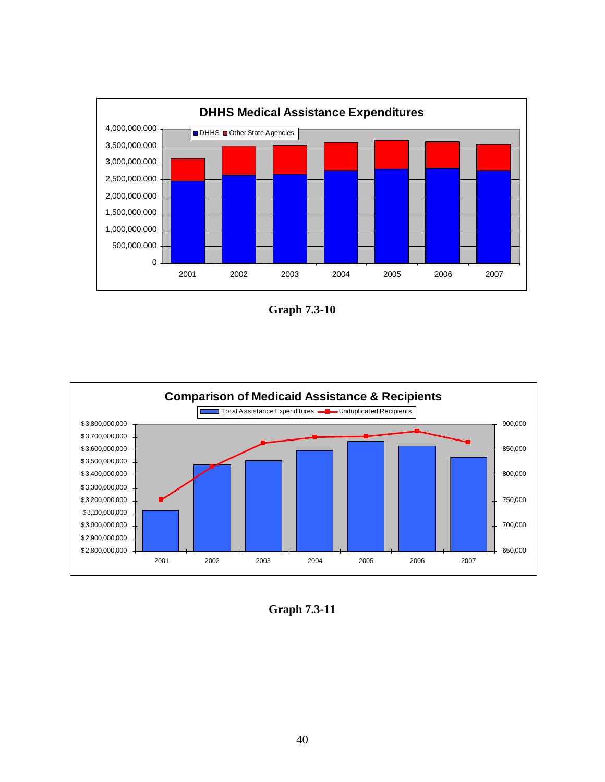

**Graph 7.3-10** 



**Graph 7.3-11**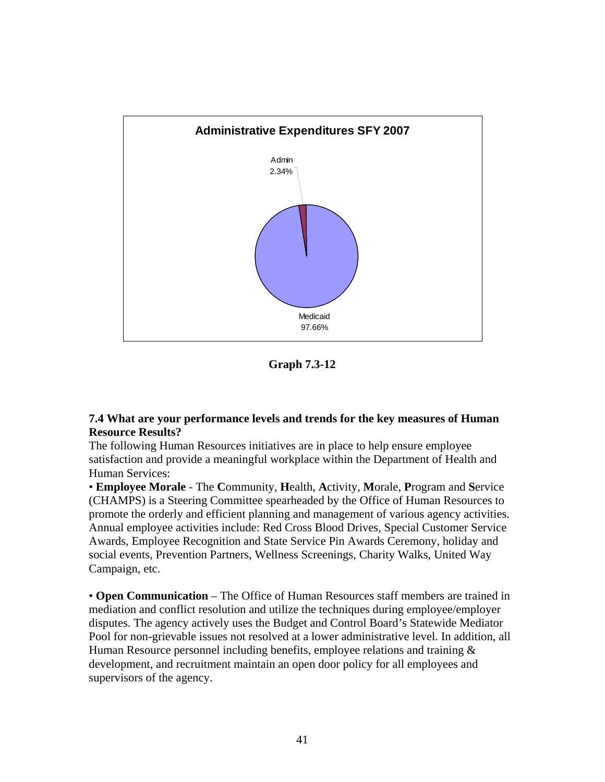

**Graph 7.3-12** 

#### **7.4 What are your performance levels and trends for the key measures of Human Resource Results?**

The following Human Resources initiatives are in place to help ensure employee satisfaction and provide a meaningful workplace within the Department of Health and Human Services:

• **Employee Morale** - The **C**ommunity, **H**ealth, **A**ctivity, **M**orale, **P**rogram and **S**ervice (CHAMPS) is a Steering Committee spearheaded by the Office of Human Resources to promote the orderly and efficient planning and management of various agency activities. Annual employee activities include: Red Cross Blood Drives, Special Customer Service Awards, Employee Recognition and State Service Pin Awards Ceremony, holiday and social events, Prevention Partners, Wellness Screenings, Charity Walks, United Way Campaign, etc.

• **Open Communication** – The Office of Human Resources staff members are trained in mediation and conflict resolution and utilize the techniques during employee/employer disputes. The agency actively uses the Budget and Control Board's Statewide Mediator Pool for non-grievable issues not resolved at a lower administrative level. In addition, all Human Resource personnel including benefits, employee relations and training  $\&$ development, and recruitment maintain an open door policy for all employees and supervisors of the agency.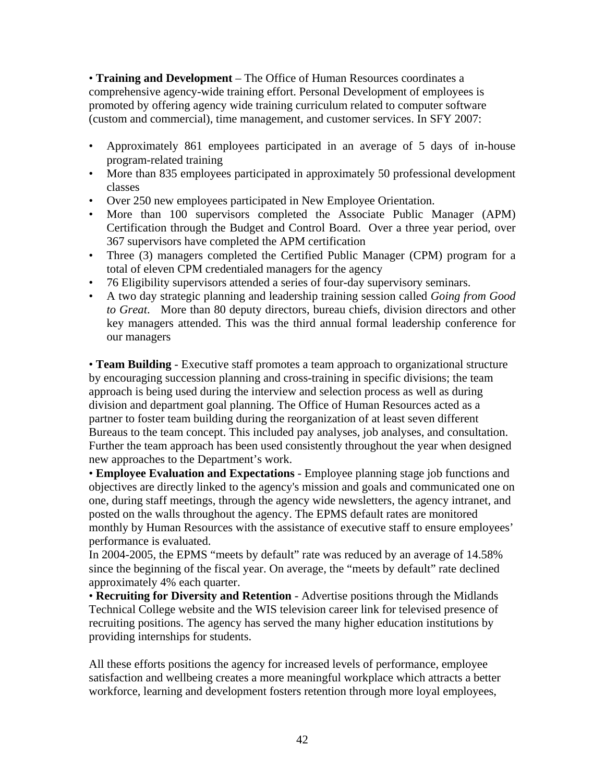• **Training and Development** – The Office of Human Resources coordinates a comprehensive agency-wide training effort. Personal Development of employees is promoted by offering agency wide training curriculum related to computer software (custom and commercial), time management, and customer services. In SFY 2007:

- Approximately 861 employees participated in an average of 5 days of in-house program-related training
- More than 835 employees participated in approximately 50 professional development classes
- Over 250 new employees participated in New Employee Orientation.
- More than 100 supervisors completed the Associate Public Manager (APM) Certification through the Budget and Control Board. Over a three year period, over 367 supervisors have completed the APM certification
- Three (3) managers completed the Certified Public Manager (CPM) program for a total of eleven CPM credentialed managers for the agency
- 76 Eligibility supervisors attended a series of four-day supervisory seminars.
- A two day strategic planning and leadership training session called *Going from Good to Great*. More than 80 deputy directors, bureau chiefs, division directors and other key managers attended. This was the third annual formal leadership conference for our managers

• **Team Building** - Executive staff promotes a team approach to organizational structure by encouraging succession planning and cross-training in specific divisions; the team approach is being used during the interview and selection process as well as during division and department goal planning. The Office of Human Resources acted as a partner to foster team building during the reorganization of at least seven different Bureaus to the team concept. This included pay analyses, job analyses, and consultation. Further the team approach has been used consistently throughout the year when designed new approaches to the Department's work.

• **Employee Evaluation and Expectations** - Employee planning stage job functions and objectives are directly linked to the agency's mission and goals and communicated one on one, during staff meetings, through the agency wide newsletters, the agency intranet, and posted on the walls throughout the agency. The EPMS default rates are monitored monthly by Human Resources with the assistance of executive staff to ensure employees' performance is evaluated.

In 2004-2005, the EPMS "meets by default" rate was reduced by an average of 14.58% since the beginning of the fiscal year. On average, the "meets by default" rate declined approximately 4% each quarter.

• **Recruiting for Diversity and Retention** - Advertise positions through the Midlands Technical College website and the WIS television career link for televised presence of recruiting positions. The agency has served the many higher education institutions by providing internships for students.

All these efforts positions the agency for increased levels of performance, employee satisfaction and wellbeing creates a more meaningful workplace which attracts a better workforce, learning and development fosters retention through more loyal employees,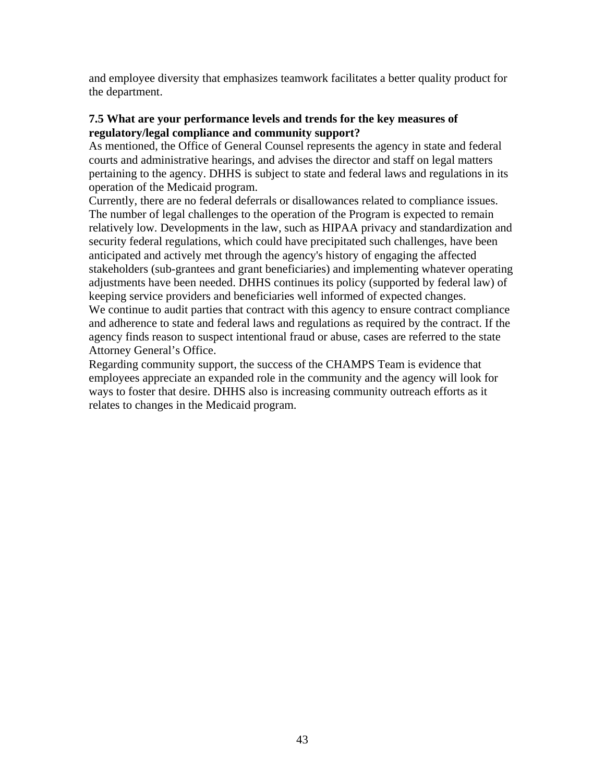and employee diversity that emphasizes teamwork facilitates a better quality product for the department.

#### **7.5 What are your performance levels and trends for the key measures of regulatory/legal compliance and community support?**

As mentioned, the Office of General Counsel represents the agency in state and federal courts and administrative hearings, and advises the director and staff on legal matters pertaining to the agency. DHHS is subject to state and federal laws and regulations in its operation of the Medicaid program.

Currently, there are no federal deferrals or disallowances related to compliance issues. The number of legal challenges to the operation of the Program is expected to remain relatively low. Developments in the law, such as HIPAA privacy and standardization and security federal regulations, which could have precipitated such challenges, have been anticipated and actively met through the agency's history of engaging the affected stakeholders (sub-grantees and grant beneficiaries) and implementing whatever operating adjustments have been needed. DHHS continues its policy (supported by federal law) of keeping service providers and beneficiaries well informed of expected changes. We continue to audit parties that contract with this agency to ensure contract compliance and adherence to state and federal laws and regulations as required by the contract. If the agency finds reason to suspect intentional fraud or abuse, cases are referred to the state Attorney General's Office.

Regarding community support, the success of the CHAMPS Team is evidence that employees appreciate an expanded role in the community and the agency will look for ways to foster that desire. DHHS also is increasing community outreach efforts as it relates to changes in the Medicaid program.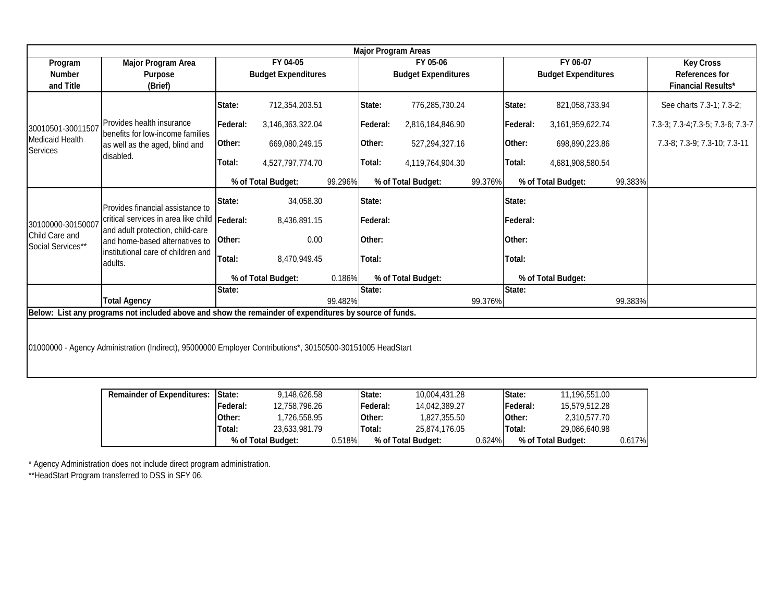| <b>Major Program Areas</b>                                                                                 |                                                                                                                     |                            |                    |         |                            |                    |         |                  |                            |                           |                                   |
|------------------------------------------------------------------------------------------------------------|---------------------------------------------------------------------------------------------------------------------|----------------------------|--------------------|---------|----------------------------|--------------------|---------|------------------|----------------------------|---------------------------|-----------------------------------|
| Program                                                                                                    | <b>Major Program Area</b>                                                                                           |                            | FY 04-05           |         |                            | FY 05-06           |         |                  | FY 06-07                   | <b>Key Cross</b>          |                                   |
| <b>Number</b>                                                                                              | <b>Purpose</b>                                                                                                      | <b>Budget Expenditures</b> |                    |         | <b>Budget Expenditures</b> |                    |         |                  | <b>Budget Expenditures</b> | <b>References for</b>     |                                   |
| and Title                                                                                                  | (Brief)                                                                                                             |                            |                    |         |                            |                    |         |                  |                            | <b>Financial Results*</b> |                                   |
|                                                                                                            |                                                                                                                     | State:                     | 712,354,203.51     |         | State:                     | 776,285,730.24     |         | State:           | 821,058,733.94             |                           | See charts 7.3-1; 7.3-2;          |
| 30010501-30011507                                                                                          | Provides health insurance<br>Ibenefits for low-income families                                                      | Federal:                   | 3,146,363,322.04   |         | Federal:                   | 2,816,184,846.90   |         | <b>IFederal:</b> | 3,161,959,622.74           |                           | 7.3-3; 7.3-4; 7.3-5; 7.3-6; 7.3-7 |
| <b>Medicaid Health</b><br>Services                                                                         | as well as the aged, blind and                                                                                      | Other:                     | 669,080,249.15     |         | Other:                     | 527,294,327.16     |         | Other:           | 698,890,223.86             |                           | 7.3-8; 7.3-9; 7.3-10; 7.3-11      |
|                                                                                                            | disabled.                                                                                                           | Total:                     | 4,527,797,774.70   |         | Total:                     | 4,119,764,904.30   |         | Total:           | 4,681,908,580.54           |                           |                                   |
|                                                                                                            |                                                                                                                     |                            | % of Total Budget: | 99.296% |                            | % of Total Budget: | 99.376% |                  | % of Total Budget:         | 99.383%                   |                                   |
|                                                                                                            | Provides financial assistance to                                                                                    | State:                     | 34,058.30          |         | State:                     |                    |         | <b>State:</b>    |                            |                           |                                   |
| 30100000-30150007                                                                                          | critical services in area like child Federal:<br>and adult protection, child-care<br>and home-based alternatives to |                            | 8,436,891.15       |         | Federal:                   |                    |         | Federal:         |                            |                           |                                   |
| Child Care and<br>Social Services**                                                                        |                                                                                                                     | Other:                     | 0.00               |         | Other:                     |                    |         | <b>Other:</b>    |                            |                           |                                   |
|                                                                                                            | linstitutional care of children and<br>ladults.                                                                     | Total:                     | 8,470,949.45       |         | Total:                     |                    |         | Total:           |                            |                           |                                   |
|                                                                                                            |                                                                                                                     | % of Total Budget:         |                    | 0.186%  | % of Total Budget:         |                    |         |                  | % of Total Budget:         |                           |                                   |
|                                                                                                            |                                                                                                                     | State:                     |                    |         | State:                     |                    |         | State:           |                            |                           |                                   |
| <b>Total Agency</b><br>99.482%<br>99.376%<br>99.383%                                                       |                                                                                                                     |                            |                    |         |                            |                    |         |                  |                            |                           |                                   |
| Below: List any programs not included above and show the remainder of expenditures by source of funds.     |                                                                                                                     |                            |                    |         |                            |                    |         |                  |                            |                           |                                   |
|                                                                                                            |                                                                                                                     |                            |                    |         |                            |                    |         |                  |                            |                           |                                   |
| 01000000 - Agency Administration (Indirect), 95000000 Employer Contributions*, 30150500-30151005 HeadStart |                                                                                                                     |                            |                    |         |                            |                    |         |                  |                            |                           |                                   |
|                                                                                                            |                                                                                                                     |                            |                    |         |                            |                    |         |                  |                            |                           |                                   |
|                                                                                                            |                                                                                                                     |                            |                    |         |                            |                    |         |                  |                            |                           |                                   |
|                                                                                                            |                                                                                                                     |                            |                    |         |                            |                    |         |                  |                            |                           |                                   |

| <b>Remainder of Expenditures:</b> | <b>IState:</b> | 9,148,626.58       |  | <b>State:</b>   | 10.004.431.28      |         | <b>State:</b>   | 11.196.551.00      |           |
|-----------------------------------|----------------|--------------------|--|-----------------|--------------------|---------|-----------------|--------------------|-----------|
|                                   | Federal:       | 12,758,796.26      |  | <b>Federal:</b> | 14,042,389.27      |         | <b>Federal:</b> | 15.579.512.28      |           |
|                                   | Other:         | 726,558.95. ا      |  | lOther:         | 1,827,355.50       |         | <b>IOther:</b>  | 2,310,577.70       |           |
|                                   | Total:         | 23,633,981.79      |  | Total:          | 25.874.176.05      |         | <b>Total:</b>   | 29,086,640.98      |           |
|                                   |                | % of Total Budget: |  | 0.518%          | % of Total Budget: | 0.624%l |                 | % of Total Budget: | $0.617\%$ |

istration does not include direct program administration. \* Agency Admin

rogram transferred to DSS in SFY 06. \*\*HeadStart P